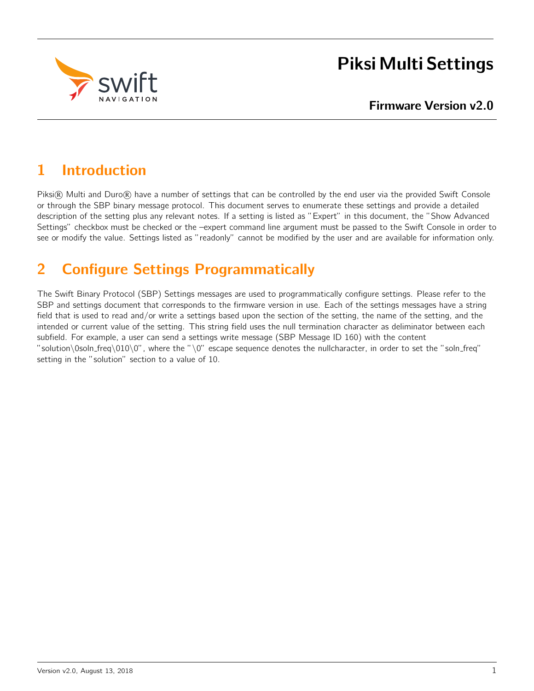

# Piksi Multi Settings

# 1 Introduction

Piksi® Multi and Duro® have a number of settings that can be controlled by the end user via the provided Swift Console or through the SBP binary message protocol. This document serves to enumerate these settings and provide a detailed description of the setting plus any relevant notes. If a setting is listed as "Expert" in this document, the "Show Advanced Settings" checkbox must be checked or the –expert command line argument must be passed to the Swift Console in order to see or modify the value. Settings listed as "readonly" cannot be modified by the user and are available for information only.

# 2 Configure Settings Programmatically

The Swift Binary Protocol (SBP) Settings messages are used to programmatically configure settings. Please refer to the SBP and settings document that corresponds to the firmware version in use. Each of the settings messages have a string field that is used to read and/or write a settings based upon the section of the setting, the name of the setting, and the intended or current value of the setting. This string field uses the null termination character as deliminator between each subfield. For example, a user can send a settings write message (SBP Message ID 160) with the content "solution\0soln\_freq\010\0", where the "\0" escape sequence denotes the nullcharacter, in order to set the "soln\_freq" setting in the "solution" section to a value of 10.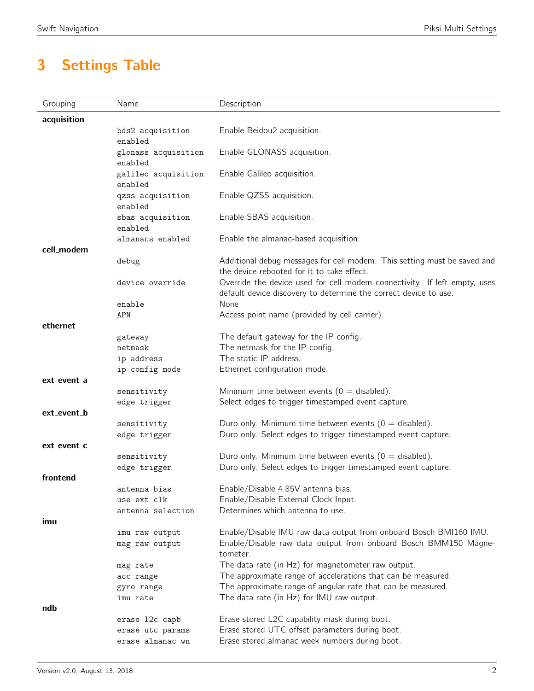# 3 Settings Table

| Grouping    | Name                               | Description                                                                                                                          |
|-------------|------------------------------------|--------------------------------------------------------------------------------------------------------------------------------------|
| acquisition |                                    |                                                                                                                                      |
|             | bds2 acquisition                   | Enable Beidou2 acquisition.                                                                                                          |
|             | enabled                            |                                                                                                                                      |
|             | glonass acquisition<br>enabled     | Enable GLONASS acquisition.                                                                                                          |
|             | galileo acquisition                | Enable Galileo acquisition.                                                                                                          |
|             | enabled                            |                                                                                                                                      |
|             | qzss acquisition                   | Enable QZSS acquisition.                                                                                                             |
|             | enabled                            |                                                                                                                                      |
|             | sbas acquisition                   | Enable SBAS acquisition.                                                                                                             |
|             | enabled<br>almanacs enabled        | Enable the almanac-based acquisition.                                                                                                |
| cell modem  |                                    |                                                                                                                                      |
|             | debug                              | Additional debug messages for cell modem. This setting must be saved and                                                             |
|             |                                    | the device rebooted for it to take effect.                                                                                           |
|             | device override                    | Override the device used for cell modem connectivity. If left empty, uses                                                            |
|             |                                    | default device discovery to determine the correct device to use.<br>None                                                             |
|             | enable<br>APN                      | Access point name (provided by cell carrier).                                                                                        |
| ethernet    |                                    |                                                                                                                                      |
|             | gateway                            | The default gateway for the IP config.                                                                                               |
|             | netmask                            | The netmask for the IP config.                                                                                                       |
|             | ip address                         | The static IP address.                                                                                                               |
|             | ip config mode                     | Ethernet configuration mode.                                                                                                         |
| ext_event_a | sensitivity                        | Minimum time between events ( $0 =$ disabled).                                                                                       |
|             | edge trigger                       | Select edges to trigger timestamped event capture.                                                                                   |
| ext_event_b |                                    |                                                                                                                                      |
|             | sensitivity                        | Duro only. Minimum time between events ( $0 =$ disabled).                                                                            |
|             | edge trigger                       | Duro only. Select edges to trigger timestamped event capture.                                                                        |
| ext_event_c |                                    |                                                                                                                                      |
|             | sensitivity<br>edge trigger        | Duro only. Minimum time between events ( $0 =$ disabled).<br>Duro only. Select edges to trigger timestamped event capture.           |
| frontend    |                                    |                                                                                                                                      |
|             | antenna bias                       | Enable/Disable 4.85V antenna bias.                                                                                                   |
|             | use ext clk                        | Enable/Disable External Clock Input.                                                                                                 |
|             | antenna selection                  | Determines which antenna to use.                                                                                                     |
| imu         |                                    |                                                                                                                                      |
|             | imu raw output<br>mag raw output   | Enable/Disable IMU raw data output from onboard Bosch BMI160 IMU.<br>Enable/Disable raw data output from onboard Bosch BMM150 Magne- |
|             |                                    | tometer.                                                                                                                             |
|             | mag rate                           | The data rate (in Hz) for magnetometer raw output.                                                                                   |
|             | acc range                          | The approximate range of accelerations that can be measured.                                                                         |
|             | gyro range                         | The approximate range of angular rate that can be measured.                                                                          |
|             | imu rate                           | The data rate (in Hz) for IMU raw output.                                                                                            |
| ndb         |                                    | Erase stored L2C capability mask during boot.                                                                                        |
|             | erase 12c capb<br>erase utc params | Erase stored UTC offset parameters during boot.                                                                                      |
|             | erase almanac wn                   | Erase stored almanac week numbers during boot.                                                                                       |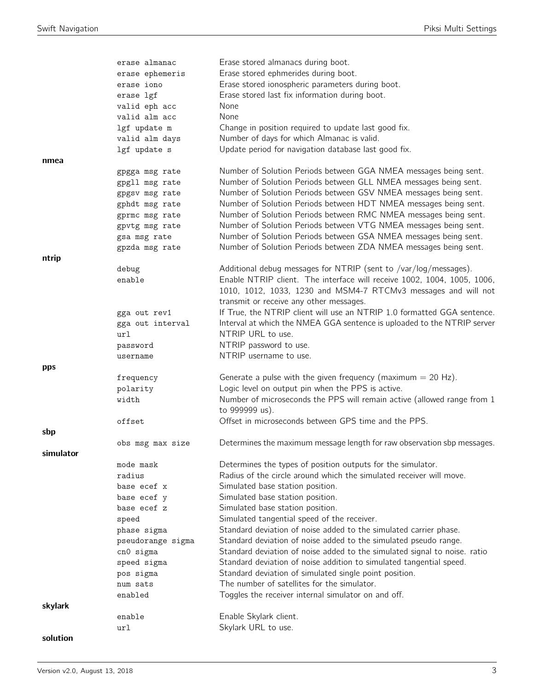|           | erase almanac     | Erase stored almanacs during boot.                                        |
|-----------|-------------------|---------------------------------------------------------------------------|
|           | erase ephemeris   | Erase stored ephmerides during boot.                                      |
|           | erase iono        | Erase stored ionospheric parameters during boot.                          |
|           | erase lgf         | Erase stored last fix information during boot.                            |
|           | valid eph acc     | None                                                                      |
|           | valid alm acc     | None                                                                      |
|           | lgf update m      | Change in position required to update last good fix.                      |
|           | valid alm days    | Number of days for which Almanac is valid.                                |
|           | lgf update s      | Update period for navigation database last good fix.                      |
| nmea      |                   |                                                                           |
|           | gpgga msg rate    | Number of Solution Periods between GGA NMEA messages being sent.          |
|           | gpgll msg rate    | Number of Solution Periods between GLL NMEA messages being sent.          |
|           | gpgsv msg rate    | Number of Solution Periods between GSV NMEA messages being sent.          |
|           | gphdt msg rate    | Number of Solution Periods between HDT NMEA messages being sent.          |
|           | gprmc msg rate    | Number of Solution Periods between RMC NMEA messages being sent.          |
|           | gpvtg msg rate    | Number of Solution Periods between VTG NMEA messages being sent.          |
|           | gsa msg rate      | Number of Solution Periods between GSA NMEA messages being sent.          |
|           | gpzda msg rate    | Number of Solution Periods between ZDA NMEA messages being sent.          |
| ntrip     |                   |                                                                           |
|           | debug             | Additional debug messages for NTRIP (sent to /var/log/messages).          |
|           | enable            | Enable NTRIP client. The interface will receive 1002, 1004, 1005, 1006,   |
|           |                   | 1010, 1012, 1033, 1230 and MSM4-7 RTCMv3 messages and will not            |
|           |                   | transmit or receive any other messages.                                   |
|           | gga out rev1      | If True, the NTRIP client will use an NTRIP 1.0 formatted GGA sentence.   |
|           | gga out interval  | Interval at which the NMEA GGA sentence is uploaded to the NTRIP server   |
|           | url               | NTRIP URL to use.                                                         |
|           | password          | NTRIP password to use.                                                    |
|           |                   |                                                                           |
|           | username          | NTRIP username to use.                                                    |
| pps       |                   |                                                                           |
|           | frequency         | Generate a pulse with the given frequency (maximum $= 20$ Hz).            |
|           | polarity          | Logic level on output pin when the PPS is active.                         |
|           | width             | Number of microseconds the PPS will remain active (allowed range from 1   |
|           |                   | to 999999 us).                                                            |
|           | offset            | Offset in microseconds between GPS time and the PPS.                      |
| sbp       |                   |                                                                           |
|           | obs msg max size  | Determines the maximum message length for raw observation sbp messages.   |
| simulator |                   |                                                                           |
|           | mode mask         | Determines the types of position outputs for the simulator.               |
|           | radius            | Radius of the circle around which the simulated receiver will move.       |
|           | base ecef x       | Simulated base station position.                                          |
|           | base ecef y       | Simulated base station position.                                          |
|           | base ecef z       | Simulated base station position.                                          |
|           | speed             | Simulated tangential speed of the receiver.                               |
|           | phase sigma       | Standard deviation of noise added to the simulated carrier phase.         |
|           | pseudorange sigma | Standard deviation of noise added to the simulated pseudo range.          |
|           | cn0 sigma         | Standard deviation of noise added to the simulated signal to noise. ratio |
|           | speed sigma       | Standard deviation of noise addition to simulated tangential speed.       |
|           | pos sigma         | Standard deviation of simulated single point position.                    |
|           | num sats          | The number of satellites for the simulator.                               |
|           | enabled           | Toggles the receiver internal simulator on and off.                       |
| skylark   |                   |                                                                           |
|           | enable            | Enable Skylark client.                                                    |
| solution  | url               | Skylark URL to use.                                                       |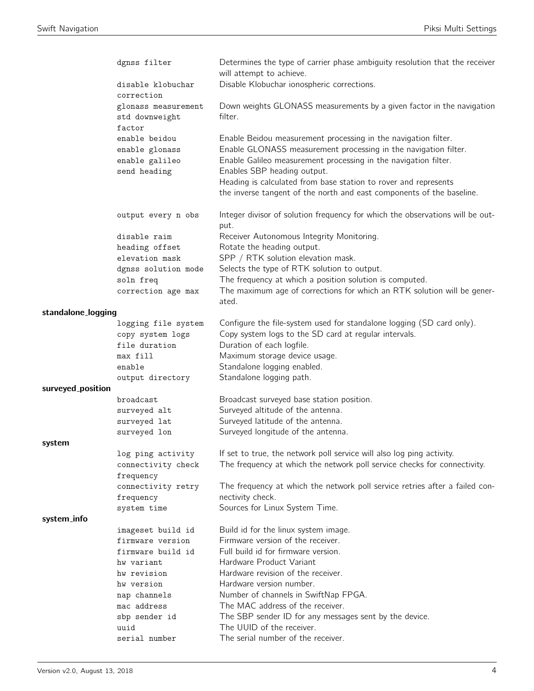|                    | dgnss filter                                                                                               | Determines the type of carrier phase ambiguity resolution that the receiver<br>will attempt to achieve.                                                                                                                                                                                                                                                                         |
|--------------------|------------------------------------------------------------------------------------------------------------|---------------------------------------------------------------------------------------------------------------------------------------------------------------------------------------------------------------------------------------------------------------------------------------------------------------------------------------------------------------------------------|
|                    | disable klobuchar<br>correction                                                                            | Disable Klobuchar ionospheric corrections.                                                                                                                                                                                                                                                                                                                                      |
|                    | glonass measurement<br>std downweight<br>factor                                                            | Down weights GLONASS measurements by a given factor in the navigation<br>filter.                                                                                                                                                                                                                                                                                                |
|                    | enable beidou<br>enable glonass<br>enable galileo<br>send heading                                          | Enable Beidou measurement processing in the navigation filter.<br>Enable GLONASS measurement processing in the navigation filter.<br>Enable Galileo measurement processing in the navigation filter.<br>Enables SBP heading output.<br>Heading is calculated from base station to rover and represents<br>the inverse tangent of the north and east components of the baseline. |
|                    | output every n obs                                                                                         | Integer divisor of solution frequency for which the observations will be out-<br>put.                                                                                                                                                                                                                                                                                           |
|                    | disable raim<br>heading offset<br>elevation mask<br>dgnss solution mode<br>soln freq<br>correction age max | Receiver Autonomous Integrity Monitoring.<br>Rotate the heading output.<br>SPP / RTK solution elevation mask.<br>Selects the type of RTK solution to output.<br>The frequency at which a position solution is computed.<br>The maximum age of corrections for which an RTK solution will be gener-<br>ated.                                                                     |
| standalone_logging |                                                                                                            |                                                                                                                                                                                                                                                                                                                                                                                 |
|                    | logging file system<br>copy system logs<br>file duration<br>max fill<br>enable                             | Configure the file-system used for standalone logging (SD card only).<br>Copy system logs to the SD card at regular intervals.<br>Duration of each logfile.<br>Maximum storage device usage.<br>Standalone logging enabled.                                                                                                                                                     |
| surveyed_position  | output directory                                                                                           | Standalone logging path.                                                                                                                                                                                                                                                                                                                                                        |
|                    | broadcast<br>surveyed alt<br>surveyed lat<br>surveyed lon                                                  | Broadcast surveyed base station position.<br>Surveyed altitude of the antenna.<br>Surveyed latitude of the antenna.<br>Surveyed longitude of the antenna.                                                                                                                                                                                                                       |
| system             |                                                                                                            |                                                                                                                                                                                                                                                                                                                                                                                 |
|                    | log ping activity<br>connectivity check<br>frequency                                                       | If set to true, the network poll service will also log ping activity.<br>The frequency at which the network poll service checks for connectivity.                                                                                                                                                                                                                               |
|                    | connectivity retry<br>frequency<br>system time                                                             | The frequency at which the network poll service retries after a failed con-<br>nectivity check.<br>Sources for Linux System Time.                                                                                                                                                                                                                                               |
| system_info        |                                                                                                            |                                                                                                                                                                                                                                                                                                                                                                                 |
|                    | imageset build id<br>firmware version                                                                      | Build id for the linux system image.<br>Firmware version of the receiver.                                                                                                                                                                                                                                                                                                       |
|                    | firmware build id<br>hw variant<br>hw revision                                                             | Full build id for firmware version.<br>Hardware Product Variant<br>Hardware revision of the receiver.                                                                                                                                                                                                                                                                           |
|                    | hw version<br>nap channels<br>mac address                                                                  | Hardware version number.<br>Number of channels in SwiftNap FPGA.<br>The MAC address of the receiver.                                                                                                                                                                                                                                                                            |
|                    | sbp sender id<br>uuid<br>serial number                                                                     | The SBP sender ID for any messages sent by the device.<br>The UUID of the receiver.<br>The serial number of the receiver.                                                                                                                                                                                                                                                       |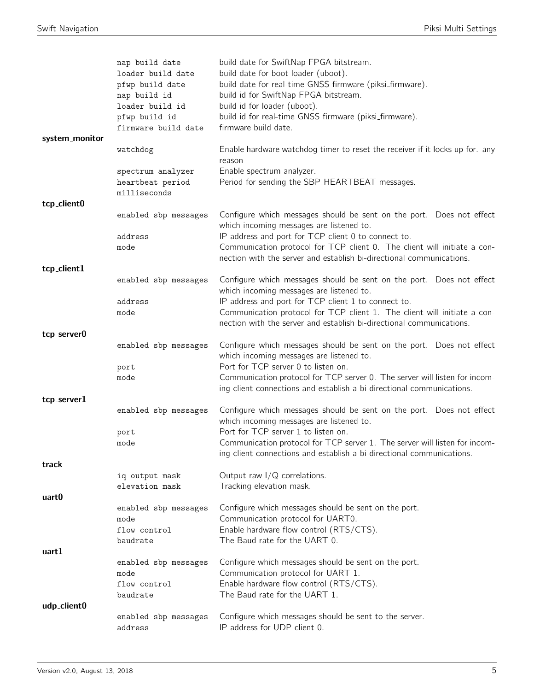|                | nap build date<br>loader build date<br>pfwp build date | build date for SwiftNap FPGA bitstream.<br>build date for boot loader (uboot).<br>build date for real-time GNSS firmware (piksi_firmware).       |
|----------------|--------------------------------------------------------|--------------------------------------------------------------------------------------------------------------------------------------------------|
|                | nap build id<br>loader build id                        | build id for SwiftNap FPGA bitstream.<br>build id for loader (uboot).                                                                            |
|                | pfwp build id<br>firmware build date                   | build id for real-time GNSS firmware (piksi_firmware).<br>firmware build date.                                                                   |
| system_monitor | watchdog                                               | Enable hardware watchdog timer to reset the receiver if it locks up for. any                                                                     |
|                |                                                        | reason                                                                                                                                           |
|                | spectrum analyzer<br>heartbeat period<br>milliseconds  | Enable spectrum analyzer.<br>Period for sending the SBP_HEARTBEAT messages.                                                                      |
| tcp_client0    |                                                        |                                                                                                                                                  |
|                | enabled sbp messages                                   | Configure which messages should be sent on the port. Does not effect<br>which incoming messages are listened to.                                 |
|                | address                                                | IP address and port for TCP client 0 to connect to.                                                                                              |
|                | mode                                                   | Communication protocol for TCP client 0. The client will initiate a con-<br>nection with the server and establish bi-directional communications. |
| tcp_client1    |                                                        |                                                                                                                                                  |
|                | enabled sbp messages                                   | Configure which messages should be sent on the port. Does not effect<br>which incoming messages are listened to.                                 |
|                | address<br>mode                                        | IP address and port for TCP client 1 to connect to.<br>Communication protocol for TCP client 1. The client will initiate a con-                  |
|                |                                                        | nection with the server and establish bi-directional communications.                                                                             |
| tcp_server0    |                                                        |                                                                                                                                                  |
|                | enabled sbp messages                                   | Configure which messages should be sent on the port. Does not effect<br>which incoming messages are listened to.                                 |
|                | port<br>mode                                           | Port for TCP server 0 to listen on.<br>Communication protocol for TCP server 0. The server will listen for incom-                                |
|                |                                                        | ing client connections and establish a bi-directional communications.                                                                            |
| tcp_server1    |                                                        |                                                                                                                                                  |
|                | enabled sbp messages                                   | Configure which messages should be sent on the port. Does not effect<br>which incoming messages are listened to.                                 |
|                | port<br>mode                                           | Port for TCP server 1 to listen on.<br>Communication protocol for TCP server 1. The server will listen for incom-                                |
|                |                                                        | ing client connections and establish a bi-directional communications.                                                                            |
| track          |                                                        |                                                                                                                                                  |
|                | iq output mask<br>elevation mask                       | Output raw $I/Q$ correlations.<br>Tracking elevation mask.                                                                                       |
| uart0          |                                                        |                                                                                                                                                  |
|                | enabled sbp messages<br>mode                           | Configure which messages should be sent on the port.<br>Communication protocol for UART0.                                                        |
|                | flow control<br>baudrate                               | Enable hardware flow control (RTS/CTS).<br>The Baud rate for the UART 0.                                                                         |
| uart1          |                                                        |                                                                                                                                                  |
|                | enabled sbp messages                                   | Configure which messages should be sent on the port.                                                                                             |
|                | mode<br>flow control                                   | Communication protocol for UART 1.                                                                                                               |
|                | baudrate                                               | Enable hardware flow control (RTS/CTS).<br>The Baud rate for the UART 1.                                                                         |
| udp_client0    |                                                        |                                                                                                                                                  |
|                | enabled sbp messages<br>address                        | Configure which messages should be sent to the server.<br>IP address for UDP client 0.                                                           |
|                |                                                        |                                                                                                                                                  |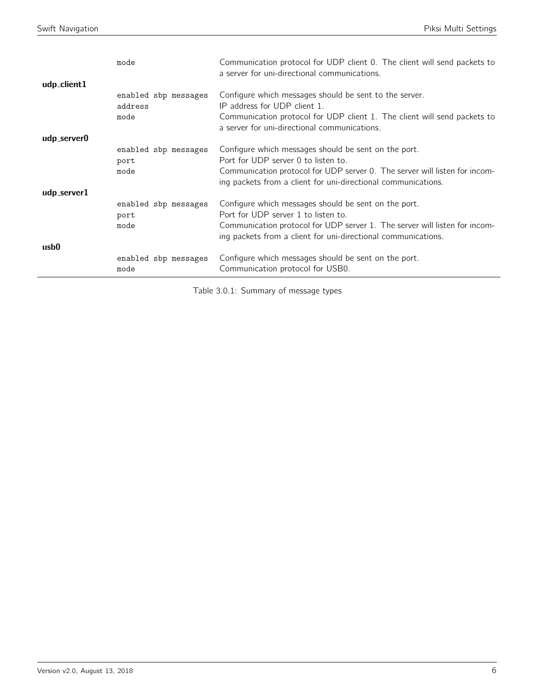| udp_client1 | mode                                    | Communication protocol for UDP client 0. The client will send packets to<br>a server for uni-directional communications.                                                                                                                   |
|-------------|-----------------------------------------|--------------------------------------------------------------------------------------------------------------------------------------------------------------------------------------------------------------------------------------------|
| udp_server0 | enabled sbp messages<br>address<br>mode | Configure which messages should be sent to the server.<br>IP address for UDP client 1.<br>Communication protocol for UDP client 1. The client will send packets to<br>a server for uni-directional communications.                         |
| udp_server1 | enabled sbp messages<br>port<br>mode    | Configure which messages should be sent on the port.<br>Port for UDP server 0 to listen to.<br>Communication protocol for UDP server 0. The server will listen for incom-<br>ing packets from a client for uni-directional communications. |
|             | enabled sbp messages<br>port<br>mode    | Configure which messages should be sent on the port.<br>Port for UDP server 1 to listen to.<br>Communication protocol for UDP server 1. The server will listen for incom-<br>ing packets from a client for uni-directional communications. |
| usb0        | enabled sbp messages<br>mode            | Configure which messages should be sent on the port.<br>Communication protocol for USB0.                                                                                                                                                   |

Table 3.0.1: Summary of message types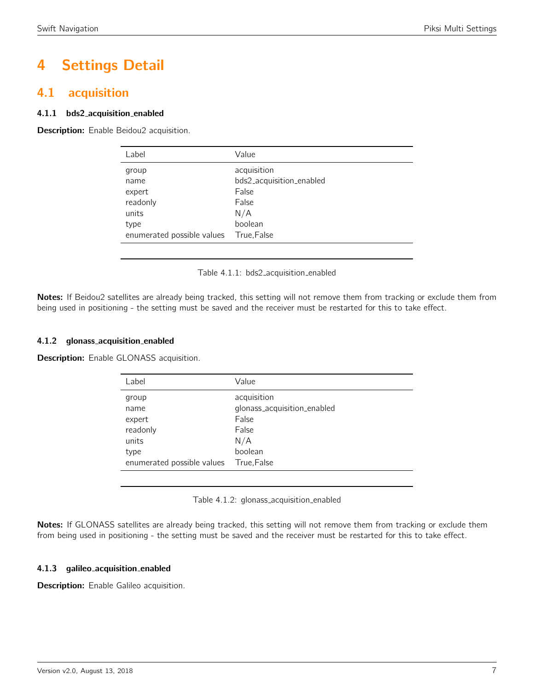# 4 Settings Detail

# <span id="page-6-0"></span>4.1 acquisition

# 4.1.1 bds2 acquisition enabled

<span id="page-6-1"></span>Description: Enable Beidou2 acquisition.

| Label                      | Value                    |
|----------------------------|--------------------------|
| group                      | acquisition              |
| name                       | bds2_acquisition_enabled |
| expert                     | False                    |
| readonly                   | False                    |
| units                      | N/A                      |
| type                       | boolean                  |
| enumerated possible values | True, False              |
|                            |                          |

Table 4.1.1: bds2 acquisition enabled

Notes: If Beidou2 satellites are already being tracked, this setting will not remove them from tracking or exclude them from being used in positioning - the setting must be saved and the receiver must be restarted for this to take effect.

# 4.1.2 glonass acquisition enabled

<span id="page-6-2"></span>**Description:** Enable GLONASS acquisition.

| Label                                                                              | Value                                                                                         |
|------------------------------------------------------------------------------------|-----------------------------------------------------------------------------------------------|
| group<br>name<br>expert<br>readonly<br>units<br>type<br>enumerated possible values | acquisition<br>glonass_acquisition_enabled<br>False<br>False<br>N/A<br>boolean<br>True, False |
|                                                                                    |                                                                                               |

Table 4.1.2: glonass\_acquisition\_enabled

Notes: If GLONASS satellites are already being tracked, this setting will not remove them from tracking or exclude them from being used in positioning - the setting must be saved and the receiver must be restarted for this to take effect.

## 4.1.3 galileo acquisition enabled

Description: Enable Galileo acquisition.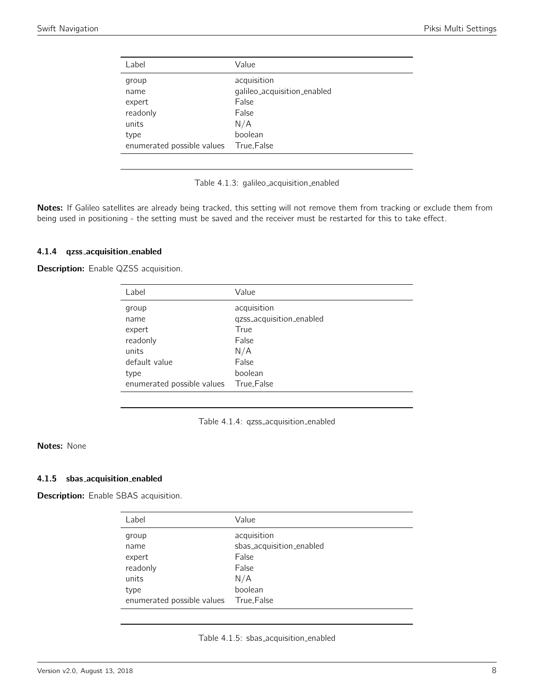<span id="page-7-0"></span>

| Label                               | Value                                                        |
|-------------------------------------|--------------------------------------------------------------|
| group<br>name<br>expert<br>readonly | acquisition<br>galileo_acquisition_enabled<br>False<br>False |
| units                               | N/A                                                          |
| type                                | boolean                                                      |
| enumerated possible values          | True,False                                                   |
|                                     |                                                              |

Table 4.1.3: galileo acquisition enabled

Notes: If Galileo satellites are already being tracked, this setting will not remove them from tracking or exclude them from being used in positioning - the setting must be saved and the receiver must be restarted for this to take effect.

#### 4.1.4 qzss acquisition enabled

<span id="page-7-1"></span>Description: Enable QZSS acquisition.

| Label                                                         | Value                                                                    |
|---------------------------------------------------------------|--------------------------------------------------------------------------|
| group<br>name<br>expert<br>readonly<br>units<br>default value | acquisition<br>qzss_acquisition_enabled<br>True<br>False<br>N/A<br>False |
|                                                               | boolean                                                                  |
|                                                               |                                                                          |
| type<br>enumerated possible values                            | True, False                                                              |
|                                                               |                                                                          |

Table 4.1.4: qzss acquisition enabled

# Notes: None

#### 4.1.5 sbas acquisition enabled

<span id="page-7-2"></span>Description: Enable SBAS acquisition.

| Label                      | Value                    |
|----------------------------|--------------------------|
| group                      | acquisition              |
| name                       | sbas_acquisition_enabled |
| expert                     | False                    |
| readonly                   | False                    |
| units                      | N/A                      |
| type                       | boolean                  |
| enumerated possible values | True, False              |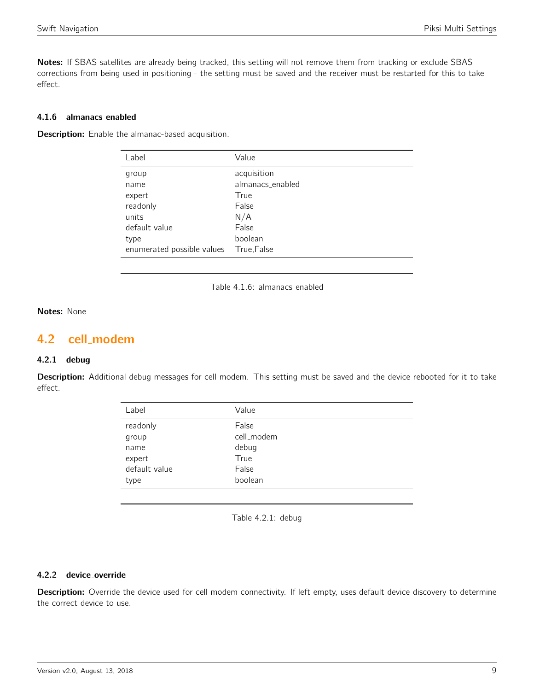Notes: If SBAS satellites are already being tracked, this setting will not remove them from tracking or exclude SBAS corrections from being used in positioning - the setting must be saved and the receiver must be restarted for this to take effect.

# 4.1.6 almanacs enabled

**Description:** Enable the almanac-based acquisition.

| Label                      | Value            |
|----------------------------|------------------|
| group                      | acquisition      |
| name                       | almanacs_enabled |
| expert                     | True             |
| readonly                   | False            |
| units                      | N/A              |
| default value              | False            |
| type                       | boolean          |
| enumerated possible values | True, False      |

Table 4.1.6: almanacs enabled

# Notes: None

# <span id="page-8-0"></span>4.2 cell modem

#### 4.2.1 debug

<span id="page-8-1"></span>Description: Additional debug messages for cell modem. This setting must be saved and the device rebooted for it to take effect.

| Label         | Value      |
|---------------|------------|
| readonly      | False      |
| group         | cell_modem |
| name          | debug      |
| expert        | True       |
| default value | False      |
| type          | boolean    |
|               |            |

Table 4.2.1: debug

#### 4.2.2 device override

Description: Override the device used for cell modem connectivity. If left empty, uses default device discovery to determine the correct device to use.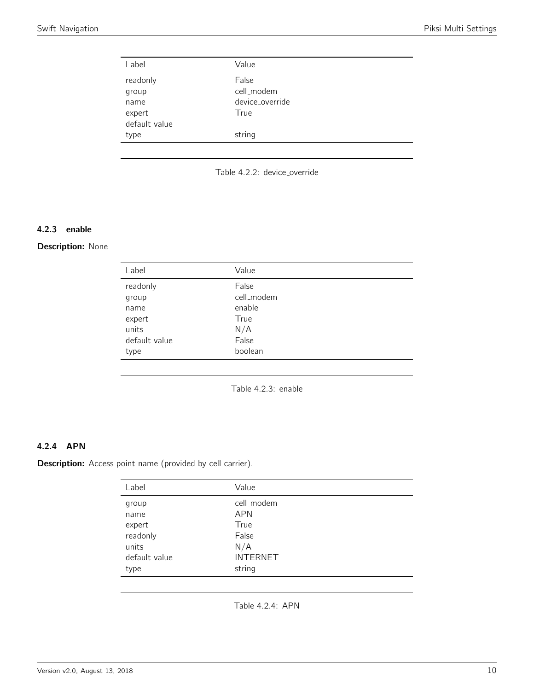<span id="page-9-0"></span>

| Label         | Value           |
|---------------|-----------------|
| readonly      | False           |
| group         | cell_modem      |
| name          | device override |
| expert        | True            |
| default value |                 |
| type          | string          |
|               |                 |

Table 4.2.2: device\_override

# 4.2.3 enable

# <span id="page-9-1"></span>Description: None

| Label         | Value      |
|---------------|------------|
| readonly      | False      |
| group         | cell_modem |
| name          | enable     |
| expert        | True       |
| units         | N/A        |
| default value | False      |
| type          | boolean    |
|               |            |

Table 4.2.3: enable

# 4.2.4 APN

Description: Access point name (provided by cell carrier).

| Label         | Value           |
|---------------|-----------------|
| group         | cell_modem      |
| name          | <b>APN</b>      |
| expert        | True            |
| readonly      | False           |
| units         | N/A             |
| default value | <b>INTERNET</b> |
| type          | string          |

Table 4.2.4: APN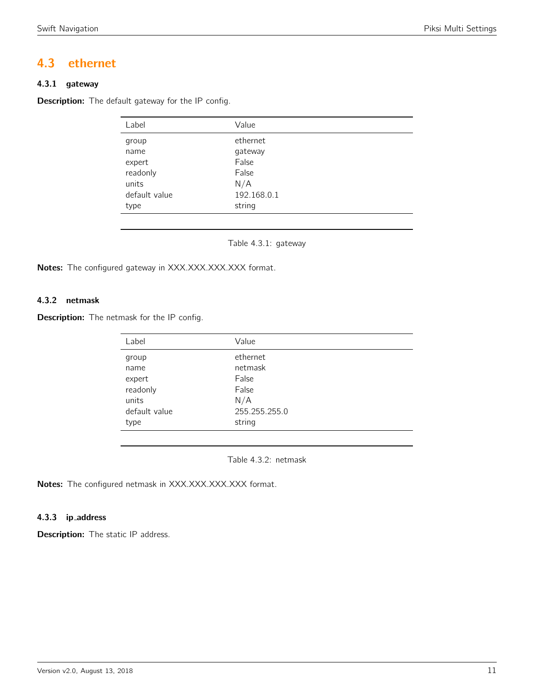# <span id="page-10-0"></span>4.3 ethernet

# 4.3.1 gateway

<span id="page-10-1"></span>Description: The default gateway for the IP config.

| Label         | Value       |
|---------------|-------------|
| group         | ethernet    |
| name          | gateway     |
| expert        | False       |
| readonly      | False       |
| units         | N/A         |
| default value | 192.168.0.1 |
| type          | string      |

Table 4.3.1: gateway

Notes: The configured gateway in XXX.XXX.XXX.XXX format.

# 4.3.2 netmask

<span id="page-10-2"></span>**Description:** The netmask for the IP config.

| Value         |  |
|---------------|--|
| ethernet      |  |
| netmask       |  |
| False         |  |
| False         |  |
| N/A           |  |
| 255.255.255.0 |  |
| string        |  |
|               |  |

Table 4.3.2: netmask

Notes: The configured netmask in XXX.XXX.XXX.XXX format.

## 4.3.3 ip address

**Description:** The static IP address.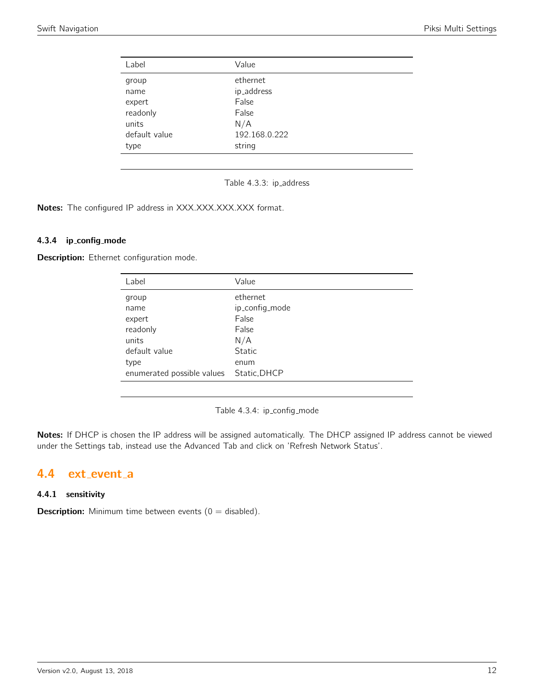<span id="page-11-0"></span>

| Label         | Value         |
|---------------|---------------|
| group         | ethernet      |
| name          | ip_address    |
| expert        | False         |
| readonly      | False         |
| units         | N/A           |
| default value | 192.168.0.222 |
| type          | string        |

Table 4.3.3: ip\_address

Notes: The configured IP address in XXX.XXX.XXX.XXX format.

# 4.3.4 ip config mode

Description: Ethernet configuration mode.

| Label                      | Value          |
|----------------------------|----------------|
| group                      | ethernet       |
| name                       | ip_config_mode |
| expert                     | False          |
| readonly                   | False          |
| units                      | N/A            |
| default value              | <b>Static</b>  |
| type                       | enum           |
| enumerated possible values | Static, DHCP   |

Table 4.3.4: ip\_config\_mode

Notes: If DHCP is chosen the IP address will be assigned automatically. The DHCP assigned IP address cannot be viewed under the Settings tab, instead use the Advanced Tab and click on 'Refresh Network Status'.

# <span id="page-11-1"></span>4.4 ext event a

# 4.4.1 sensitivity

**Description:** Minimum time between events  $(0 = \text{disabled})$ .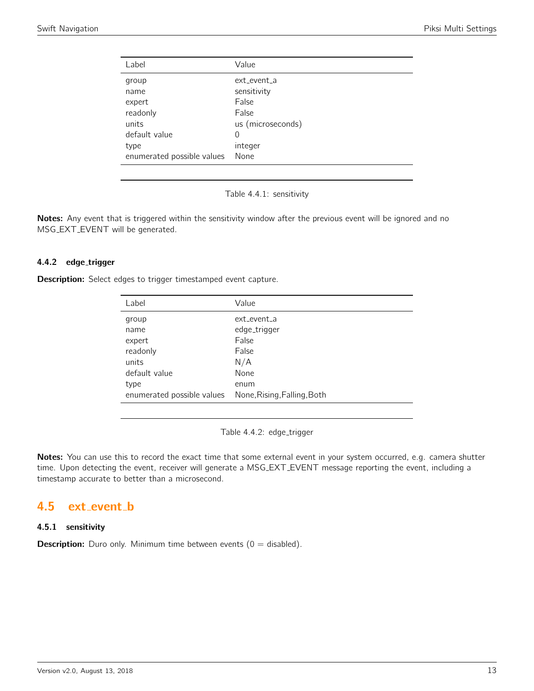<span id="page-12-0"></span>

| Label                      | Value             |
|----------------------------|-------------------|
| group                      | ext event a       |
| name                       | sensitivity       |
| expert                     | False             |
| readonly                   | False             |
| units                      | us (microseconds) |
| default value              | $\Omega$          |
| type                       | integer           |
| enumerated possible values | None              |

Table 4.4.1: sensitivity

Notes: Any event that is triggered within the sensitivity window after the previous event will be ignored and no MSG EXT EVENT will be generated.

# 4.4.2 edge\_trigger

**Description:** Select edges to trigger timestamped event capture.

| Label                      | Value                       |
|----------------------------|-----------------------------|
| group                      | ext event a                 |
| name                       | edge_trigger                |
| expert                     | False                       |
| readonly                   | False                       |
| units                      | N/A                         |
| default value              | None                        |
| type                       | enum                        |
| enumerated possible values | None, Rising, Falling, Both |

Table 4.4.2: edge\_trigger

Notes: You can use this to record the exact time that some external event in your system occurred, e.g. camera shutter time. Upon detecting the event, receiver will generate a MSG EXT EVENT message reporting the event, including a timestamp accurate to better than a microsecond.

# <span id="page-12-1"></span>4.5 ext event b

# 4.5.1 sensitivity

**Description:** Duro only. Minimum time between events  $(0 = \text{disabled})$ .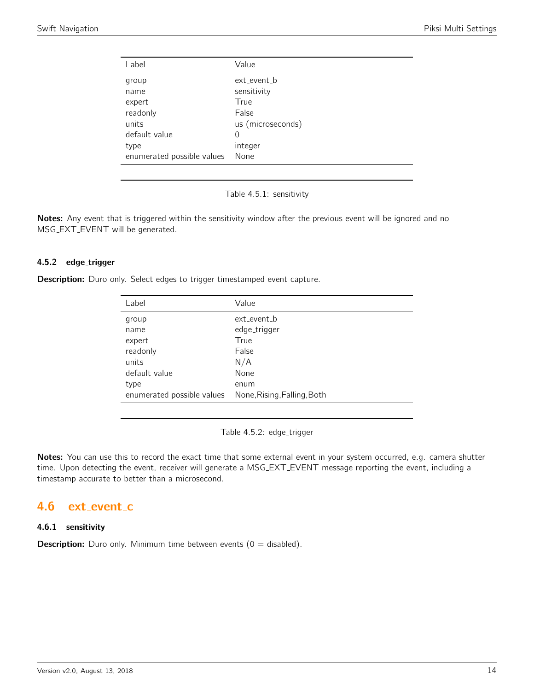<span id="page-13-0"></span>

| Label                      | Value             |
|----------------------------|-------------------|
| group                      | ext_event_b       |
| name                       | sensitivity       |
| expert                     | True              |
| readonly                   | False             |
| units                      | us (microseconds) |
| default value              | 0                 |
| type                       | integer           |
| enumerated possible values | None              |

Table 4.5.1: sensitivity

Notes: Any event that is triggered within the sensitivity window after the previous event will be ignored and no MSG EXT EVENT will be generated.

#### 4.5.2 edge trigger

**Description:** Duro only. Select edges to trigger timestamped event capture.

| Label                      | Value                       |
|----------------------------|-----------------------------|
| group                      | ext event b                 |
| name                       | edge_trigger                |
| expert                     | True                        |
| readonly                   | False                       |
| units                      | N/A                         |
| default value              | None                        |
| type                       | enum                        |
| enumerated possible values | None, Rising, Falling, Both |

Table 4.5.2: edge\_trigger

Notes: You can use this to record the exact time that some external event in your system occurred, e.g. camera shutter time. Upon detecting the event, receiver will generate a MSG EXT EVENT message reporting the event, including a timestamp accurate to better than a microsecond.

# <span id="page-13-1"></span>4.6 ext\_event\_c

#### 4.6.1 sensitivity

**Description:** Duro only. Minimum time between events  $(0 = \text{disabled})$ .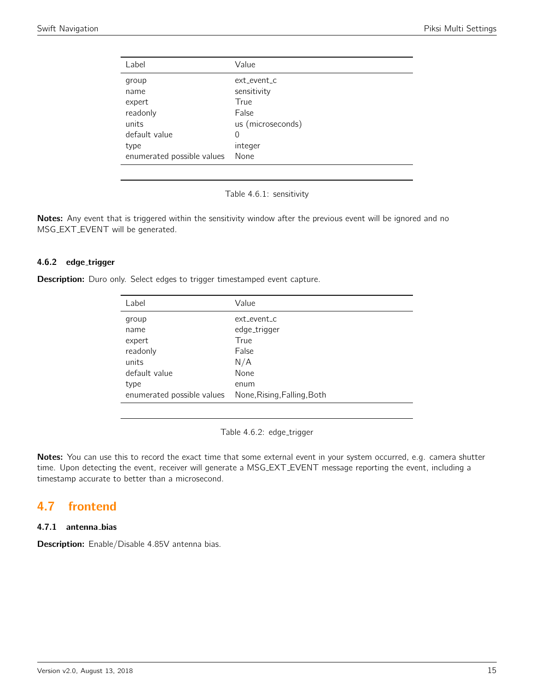<span id="page-14-0"></span>

| Label                      | Value             |
|----------------------------|-------------------|
| group                      | ext event c       |
| name                       | sensitivity       |
| expert                     | True              |
| readonly                   | False             |
| units                      | us (microseconds) |
| default value              | $\Omega$          |
| type                       | integer           |
| enumerated possible values | None              |

Table 4.6.1: sensitivity

Notes: Any event that is triggered within the sensitivity window after the previous event will be ignored and no MSG EXT EVENT will be generated.

# 4.6.2 edge\_trigger

**Description:** Duro only. Select edges to trigger timestamped event capture.

| Label                      | Value                       |
|----------------------------|-----------------------------|
| group                      | ext event c                 |
| name                       | edge_trigger                |
| expert                     | True                        |
| readonly                   | False                       |
| units                      | N/A                         |
| default value              | None                        |
| type                       | enum                        |
| enumerated possible values | None, Rising, Falling, Both |

Table 4.6.2: edge\_trigger

Notes: You can use this to record the exact time that some external event in your system occurred, e.g. camera shutter time. Upon detecting the event, receiver will generate a MSG EXT EVENT message reporting the event, including a timestamp accurate to better than a microsecond.

# <span id="page-14-1"></span>4.7 frontend

# 4.7.1 antenna bias

Description: Enable/Disable 4.85V antenna bias.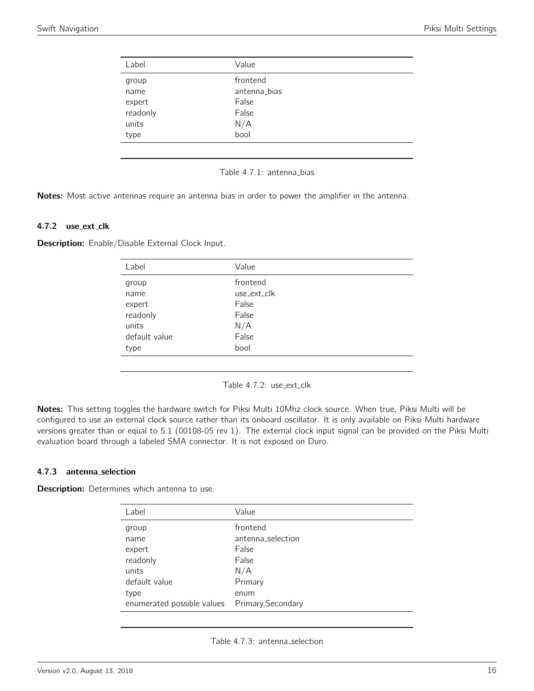<span id="page-15-0"></span>

| Label    | Value        |  |
|----------|--------------|--|
| group    | frontend     |  |
| name     | antenna_bias |  |
| expert   | False        |  |
| readonly | False        |  |
| units    | N/A          |  |
| type     | bool         |  |
|          |              |  |

#### Table 4.7.1: antenna\_bias

Notes: Most active antennas require an antenna bias in order to power the amplifier in the antenna.

#### 4.7.2 use\_ext\_clk

<span id="page-15-1"></span>Description: Enable/Disable External Clock Input.

| Label         | Value       |
|---------------|-------------|
| group         | frontend    |
| name          | use_ext_clk |
| expert        | False       |
| readonly      | False       |
| units         | N/A         |
| default value | False       |
| type          | bool        |
|               |             |

Table 4.7.2: use\_ext\_clk

Notes: This setting toggles the hardware switch for Piksi Multi 10Mhz clock source. When true, Piksi Multi will be configured to use an external clock source rather than its onboard oscillator. It is only available on Piksi Multi hardware versions greater than or equal to 5.1 (00108-05 rev 1). The external clock input signal can be provided on the Piksi Multi evaluation board through a labeled SMA connector. It is not exposed on Duro.

#### 4.7.3 antenna selection

Description: Determines which antenna to use.

| Label                                          | Value             |
|------------------------------------------------|-------------------|
| group                                          | frontend          |
| name                                           | antenna_selection |
| expert                                         | False             |
| readonly                                       | False             |
| units                                          | N/A               |
| default value                                  | Primary           |
| type                                           | enum              |
| enumerated possible values  Primary, Secondary |                   |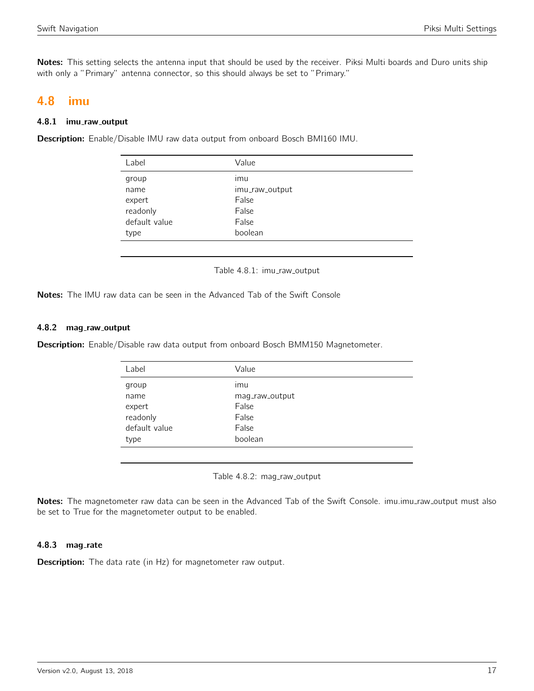Notes: This setting selects the antenna input that should be used by the receiver. Piksi Multi boards and Duro units ship with only a "Primary" antenna connector, so this should always be set to "Primary."

# <span id="page-16-0"></span>4.8 imu

## 4.8.1 imu\_raw\_output

<span id="page-16-1"></span>Description: Enable/Disable IMU raw data output from onboard Bosch BMI160 IMU.

| Label         | Value          |
|---------------|----------------|
| group         | imu            |
| name          | imu_raw_output |
| expert        | False          |
| readonly      | False          |
| default value | False          |
| type          | boolean        |
|               |                |

Table 4.8.1: imu\_raw\_output

Notes: The IMU raw data can be seen in the Advanced Tab of the Swift Console

## 4.8.2 mag\_raw\_output

<span id="page-16-2"></span>Description: Enable/Disable raw data output from onboard Bosch BMM150 Magnetometer.

| Label         | Value          |
|---------------|----------------|
| group         | ımu            |
| name          | mag_raw_output |
| expert        | False          |
| readonly      | False          |
| default value | False          |
| type          | boolean        |
|               |                |

Table 4.8.2: mag\_raw\_output

Notes: The magnetometer raw data can be seen in the Advanced Tab of the Swift Console. imu.imu\_raw\_output must also be set to True for the magnetometer output to be enabled.

## 4.8.3 mag\_rate

**Description:** The data rate (in Hz) for magnetometer raw output.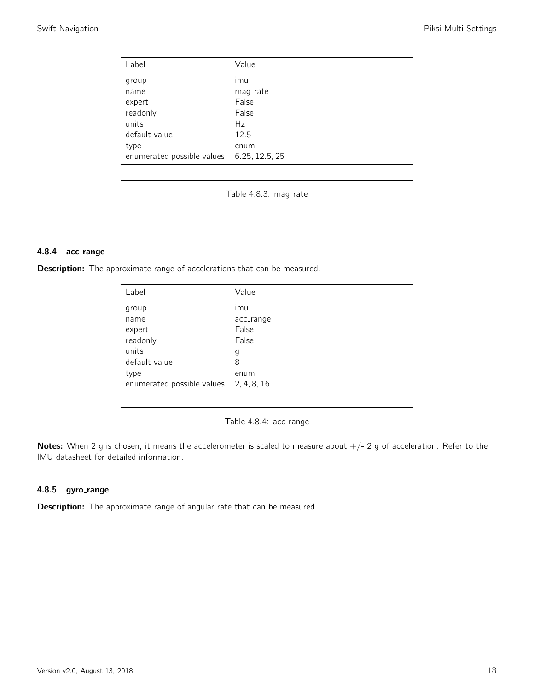<span id="page-17-0"></span>

| Label                      | Value          |
|----------------------------|----------------|
| group                      | imu            |
| name                       | mag_rate       |
| expert                     | False          |
| readonly                   | False          |
| units                      | Hz             |
| default value              | 12.5           |
| type                       | enum           |
| enumerated possible values | 6.25, 12.5, 25 |

Table 4.8.3: mag\_rate

#### 4.8.4 acc range

<span id="page-17-1"></span>Description: The approximate range of accelerations that can be measured.

| Label                                  | Value     |
|----------------------------------------|-----------|
| group                                  | imu       |
| name                                   | acc_range |
| expert                                 | False     |
| readonly                               | False     |
| units                                  | g         |
| default value                          | 8         |
| type                                   | enum      |
| enumerated possible values 2, 4, 8, 16 |           |

Table 4.8.4: acc\_range

Notes: When 2 g is chosen, it means the accelerometer is scaled to measure about  $+/- 2$  g of acceleration. Refer to the IMU datasheet for detailed information.

## 4.8.5 gyro\_range

Description: The approximate range of angular rate that can be measured.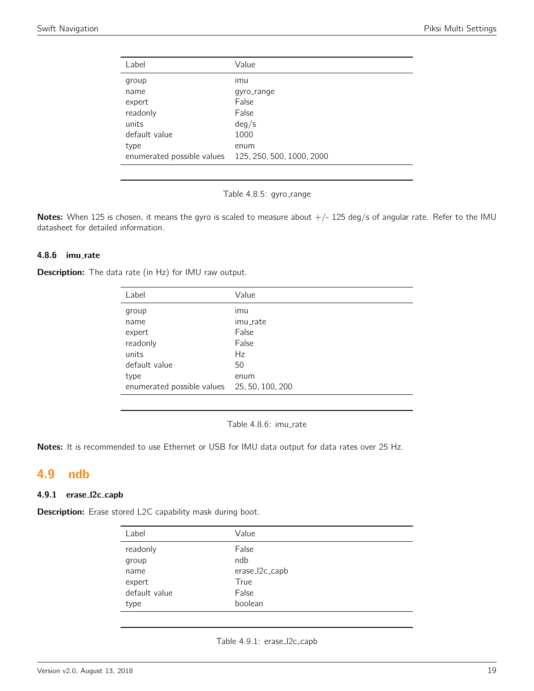<span id="page-18-0"></span>

| Label                      | Value                     |
|----------------------------|---------------------------|
| group                      | ımu                       |
| name                       | gyro_range                |
| expert                     | False                     |
| readonly                   | False                     |
| units                      | deg/s                     |
| default value              | 1000                      |
| type                       | enum                      |
| enumerated possible values | 125, 250, 500, 1000, 2000 |
|                            |                           |

Table 4.8.5: gyro\_range

Notes: When 125 is chosen, it means the gyro is scaled to measure about  $+/-$  125 deg/s of angular rate. Refer to the IMU datasheet for detailed information.

#### 4.8.6 imu rate

Description: The data rate (in Hz) for IMU raw output.

| Label                                       | Value    |
|---------------------------------------------|----------|
| group                                       | imu      |
| name                                        | imu_rate |
| expert                                      | False    |
| readonly                                    | False    |
| units                                       | Hz       |
| default value                               | 50       |
| type                                        | enum     |
| enumerated possible values 25, 50, 100, 200 |          |
|                                             |          |

Table 4.8.6: imu\_rate

Notes: It is recommended to use Ethernet or USB for IMU data output for data rates over 25 Hz.

# <span id="page-18-1"></span>4.9 ndb

# 4.9.1 erase l2c capb

<span id="page-18-2"></span>Description: Erase stored L2C capability mask during boot.

| Label         | Value          |
|---------------|----------------|
| readonly      | False          |
| group         | ndb            |
| name          | erase_l2c_capb |
| expert        | True           |
| default value | False          |
| type          | boolean        |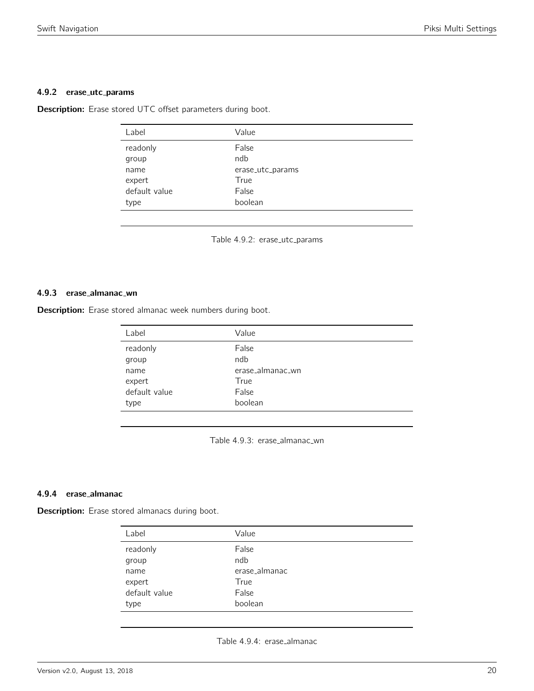#### 4.9.2 erase utc params

<span id="page-19-0"></span>Description: Erase stored UTC offset parameters during boot.

| Value            |
|------------------|
| False            |
| ndb              |
| erase_utc_params |
| True             |
| False            |
| boolean          |
|                  |

Table 4.9.2: erase\_utc\_params

# 4.9.3 erase almanac wn

<span id="page-19-1"></span>Description: Erase stored almanac week numbers during boot.

| Label         | Value            |
|---------------|------------------|
| readonly      | False            |
| group         | ndb              |
| name          | erase_almanac_wn |
| expert        | True             |
| default value | False            |
| type          | boolean          |
|               |                  |

Table 4.9.3: erase\_almanac\_wn

#### 4.9.4 erase almanac

<span id="page-19-2"></span>Description: Erase stored almanacs during boot.

| Label         | Value         |
|---------------|---------------|
| readonly      | False         |
| group         | ndb           |
| name          | erase_almanac |
| expert        | True          |
| default value | False         |
| type          | boolean       |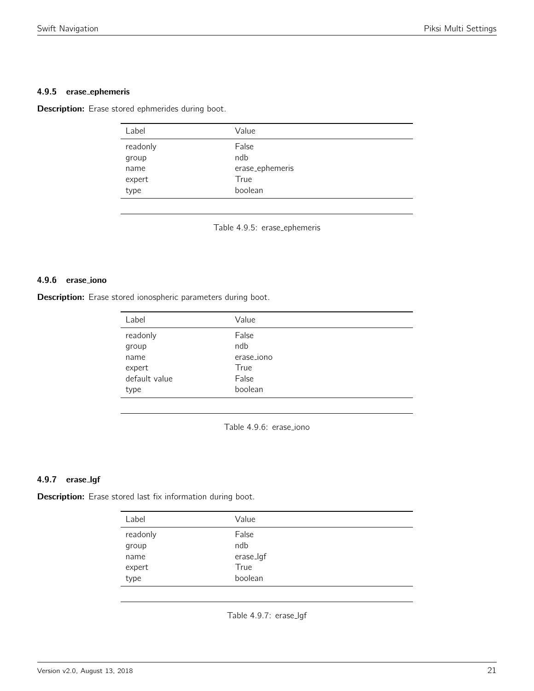# 4.9.5 erase ephemeris

<span id="page-20-0"></span>Description: Erase stored ephmerides during boot.

| Label    | Value           |
|----------|-----------------|
| readonly | False           |
| group    | ndb             |
| name     | erase_ephemeris |
| expert   | True            |
| type     | boolean         |

Table 4.9.5: erase ephemeris

# 4.9.6 erase iono

<span id="page-20-1"></span>Description: Erase stored ionospheric parameters during boot.

| Label         | Value      |
|---------------|------------|
| readonly      | False      |
| group         | ndb        |
| name          | erase_iono |
| expert        | True       |
| default value | False      |
| type          | boolean    |

Table 4.9.6: erase iono

# 4.9.7 erase lgf

<span id="page-20-2"></span>Description: Erase stored last fix information during boot.

| readonly<br>False<br>ndb<br>group<br>erase_lgf<br>name<br>True<br>expert<br>boolean<br>type | Label | Value |  |
|---------------------------------------------------------------------------------------------|-------|-------|--|
|                                                                                             |       |       |  |
|                                                                                             |       |       |  |
|                                                                                             |       |       |  |
|                                                                                             |       |       |  |

Table 4.9.7: erase\_lgf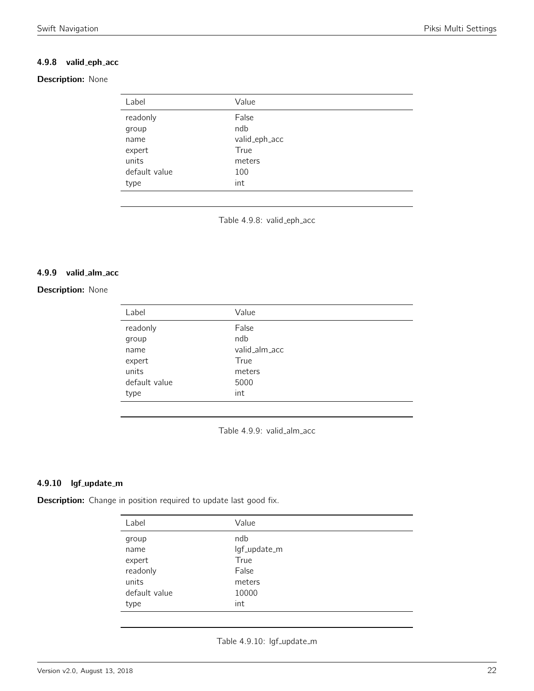# 4.9.8 valid eph acc

# <span id="page-21-0"></span>**Description: None**

| Label         | Value         |
|---------------|---------------|
| readonly      | False         |
| group         | ndb           |
| name          | valid_eph_acc |
| expert        | True          |
| units         | meters        |
| default value | 100           |
| type          | int           |

Table 4.9.8: valid\_eph\_acc

#### 4.9.9 valid alm acc

# <span id="page-21-1"></span>**Description: None**

| Label         | Value         |
|---------------|---------------|
| readonly      | False         |
| group         | ndb           |
| name          | valid_alm_acc |
| expert        | True          |
| units         | meters        |
| default value | 5000          |
| type          | int           |

Table 4.9.9: valid\_alm\_acc

# 4.9.10 lgf\_update\_m

<span id="page-21-2"></span>Description: Change in position required to update last good fix.

| Label         | Value        |
|---------------|--------------|
| group         | ndb          |
| name          | lgf_update_m |
| expert        | True         |
| readonly      | False        |
| units         | meters       |
| default value | 10000        |
| type          | int          |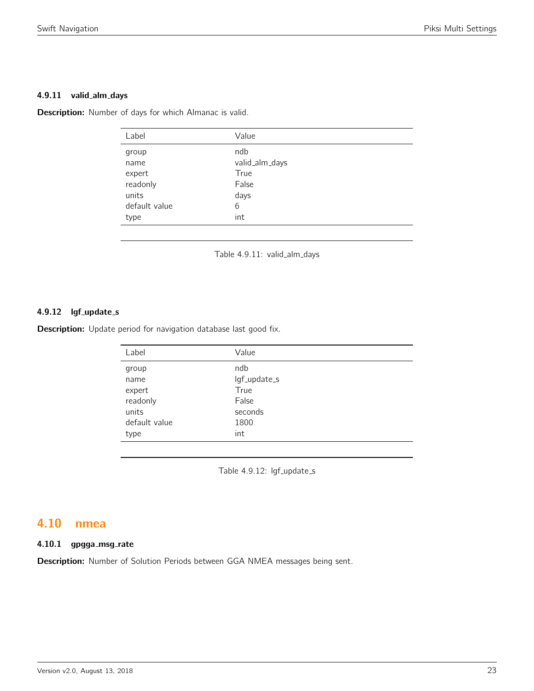#### 4.9.11 valid\_alm\_days

<span id="page-22-0"></span>Description: Number of days for which Almanac is valid.

| Label                                        | Value                                          |
|----------------------------------------------|------------------------------------------------|
| group<br>name<br>expert<br>readonly<br>units | ndb<br>valid_alm_days<br>True<br>False<br>days |
| default value<br>type                        | 6<br>int                                       |
|                                              |                                                |

Table 4.9.11: valid\_alm\_days

# 4.9.12 lgf\_update\_s

Description: Update period for navigation database last good fix.

| Label         | Value        |
|---------------|--------------|
| group         | ndb          |
| name          | lgf_update_s |
| expert        | True         |
| readonly      | False        |
| units         | seconds      |
| default value | 1800         |
| type          | int          |
|               |              |

Table 4.9.12: lgf\_update\_s

# <span id="page-22-1"></span>4.10 nmea

# 4.10.1 gpgga\_msg\_rate

Description: Number of Solution Periods between GGA NMEA messages being sent.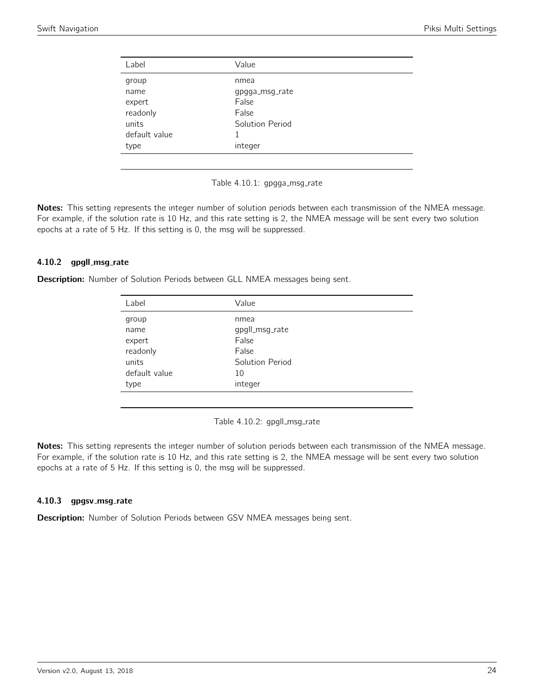<span id="page-23-0"></span>

| Label         | Value           |  |
|---------------|-----------------|--|
| group         | nmea            |  |
| name          | gpgga_msg_rate  |  |
| expert        | False           |  |
| readonly      | False           |  |
| units         | Solution Period |  |
| default value |                 |  |
| type          | integer         |  |
|               |                 |  |

Table 4.10.1: gpgga\_msg\_rate

Notes: This setting represents the integer number of solution periods between each transmission of the NMEA message. For example, if the solution rate is 10 Hz, and this rate setting is 2, the NMEA message will be sent every two solution epochs at a rate of 5 Hz. If this setting is 0, the msg will be suppressed.

## 4.10.2 gpgll\_msg\_rate

<span id="page-23-1"></span>Description: Number of Solution Periods between GLL NMEA messages being sent.

| Label         | Value           |
|---------------|-----------------|
| group         | nmea            |
| name          | gpgll_msg_rate  |
| expert        | False           |
| readonly      | False           |
| units         | Solution Period |
| default value | 10              |
| type          | integer         |
|               |                 |

Table 4.10.2: gpgll\_msg\_rate

Notes: This setting represents the integer number of solution periods between each transmission of the NMEA message. For example, if the solution rate is 10 Hz, and this rate setting is 2, the NMEA message will be sent every two solution epochs at a rate of 5 Hz. If this setting is 0, the msg will be suppressed.

## 4.10.3 gpgsv\_msg\_rate

Description: Number of Solution Periods between GSV NMEA messages being sent.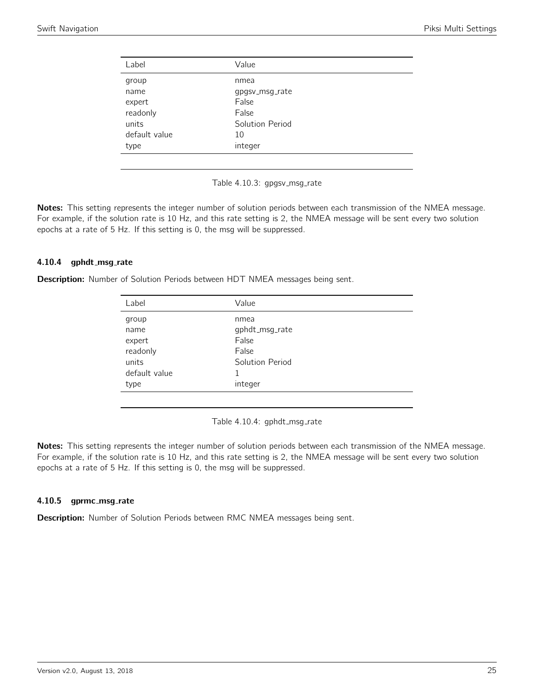<span id="page-24-0"></span>

| Label         | Value           |
|---------------|-----------------|
| group         | nmea            |
| name          | gpgsv_msg_rate  |
| expert        | False           |
| readonly      | False           |
| units         | Solution Period |
| default value | 10              |
| type          | integer         |
|               |                 |

Table 4.10.3: gpgsv\_msg\_rate

Notes: This setting represents the integer number of solution periods between each transmission of the NMEA message. For example, if the solution rate is 10 Hz, and this rate setting is 2, the NMEA message will be sent every two solution epochs at a rate of 5 Hz. If this setting is 0, the msg will be suppressed.

## 4.10.4 gphdt\_msg\_rate

<span id="page-24-1"></span>Description: Number of Solution Periods between HDT NMEA messages being sent.

| Label         | Value           |  |
|---------------|-----------------|--|
| group         | nmea            |  |
| name          | gphdt_msg_rate  |  |
| expert        | False           |  |
| readonly      | False           |  |
| units         | Solution Period |  |
| default value | 1               |  |
| type          | integer         |  |
|               |                 |  |

Table 4.10.4: gphdt\_msg\_rate

Notes: This setting represents the integer number of solution periods between each transmission of the NMEA message. For example, if the solution rate is 10 Hz, and this rate setting is 2, the NMEA message will be sent every two solution epochs at a rate of 5 Hz. If this setting is 0, the msg will be suppressed.

#### 4.10.5 gprmc\_msg\_rate

Description: Number of Solution Periods between RMC NMEA messages being sent.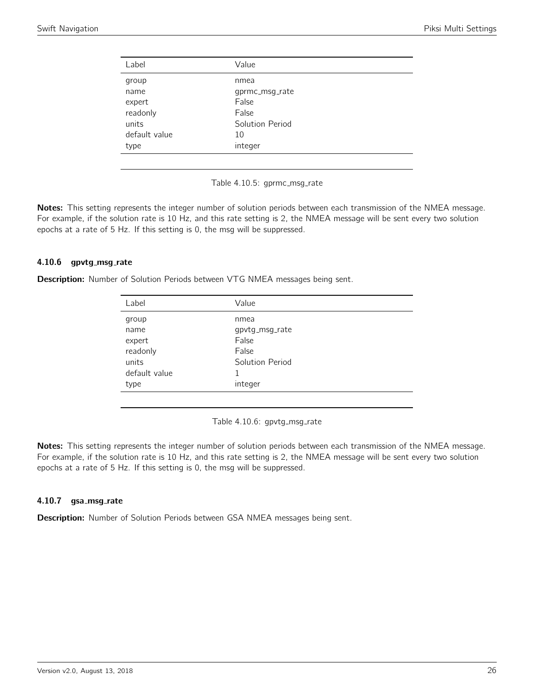<span id="page-25-0"></span>

| Label         | Value           |  |
|---------------|-----------------|--|
| group         | nmea            |  |
| name          | gprmc_msg_rate  |  |
| expert        | False           |  |
| readonly      | False           |  |
| units         | Solution Period |  |
| default value | 10              |  |
| type          | integer         |  |
|               |                 |  |

Table 4.10.5: gprmc\_msg\_rate

Notes: This setting represents the integer number of solution periods between each transmission of the NMEA message. For example, if the solution rate is 10 Hz, and this rate setting is 2, the NMEA message will be sent every two solution epochs at a rate of 5 Hz. If this setting is 0, the msg will be suppressed.

## 4.10.6 gpvtg\_msg\_rate

<span id="page-25-1"></span>Description: Number of Solution Periods between VTG NMEA messages being sent.

| Label         | Value           |
|---------------|-----------------|
| group         | nmea            |
| name          | gpvtg_msg_rate  |
| expert        | False           |
| readonly      | False           |
| units         | Solution Period |
| default value | 1               |
| type          | integer         |
|               |                 |

Table 4.10.6: gpvtg\_msg\_rate

Notes: This setting represents the integer number of solution periods between each transmission of the NMEA message. For example, if the solution rate is 10 Hz, and this rate setting is 2, the NMEA message will be sent every two solution epochs at a rate of 5 Hz. If this setting is 0, the msg will be suppressed.

## 4.10.7 gsa\_msg\_rate

Description: Number of Solution Periods between GSA NMEA messages being sent.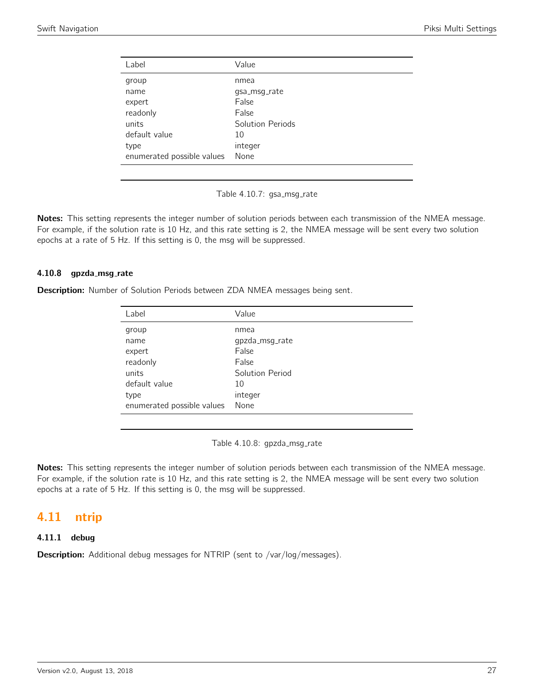<span id="page-26-0"></span>

| Label                      | Value            |
|----------------------------|------------------|
| group                      | nmea             |
| name                       | qsa_msq_rate     |
| expert                     | False            |
| readonly                   | False            |
| units                      | Solution Periods |
| default value              | 10               |
| type                       | integer          |
| enumerated possible values | None             |

Table 4.10.7: gsa\_msg\_rate

Notes: This setting represents the integer number of solution periods between each transmission of the NMEA message. For example, if the solution rate is 10 Hz, and this rate setting is 2, the NMEA message will be sent every two solution epochs at a rate of 5 Hz. If this setting is 0, the msg will be suppressed.

## 4.10.8 gpzda\_msg\_rate

Description: Number of Solution Periods between ZDA NMEA messages being sent.

| Value           |
|-----------------|
| nmea            |
| gpzda_msg_rate  |
| False           |
| False           |
| Solution Period |
| 10              |
| integer         |
| None            |
|                 |

Table 4.10.8: gpzda\_msg\_rate

Notes: This setting represents the integer number of solution periods between each transmission of the NMEA message. For example, if the solution rate is 10 Hz, and this rate setting is 2, the NMEA message will be sent every two solution epochs at a rate of 5 Hz. If this setting is 0, the msg will be suppressed.

# <span id="page-26-1"></span>4.11 ntrip

# 4.11.1 debug

Description: Additional debug messages for NTRIP (sent to /var/log/messages).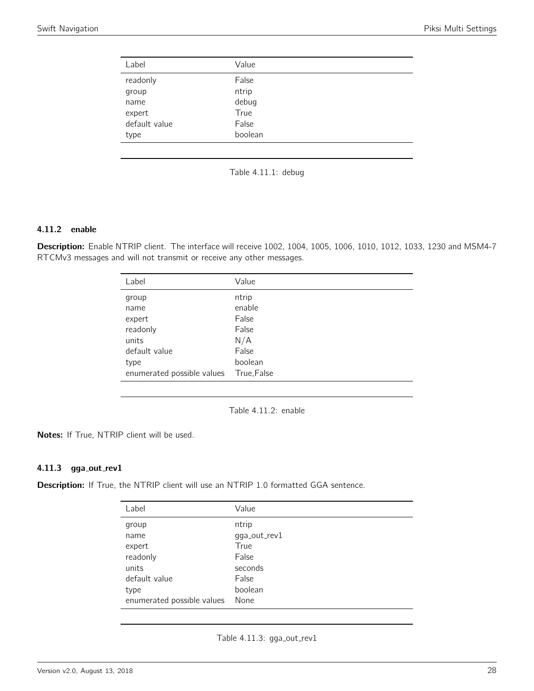<span id="page-27-0"></span>

| Label         | Value   |  |
|---------------|---------|--|
| readonly      | False   |  |
| group         | ntrip   |  |
| name          | debug   |  |
| expert        | True    |  |
| default value | False   |  |
| type          | boolean |  |
|               |         |  |



# 4.11.2 enable

<span id="page-27-1"></span>Description: Enable NTRIP client. The interface will receive 1002, 1004, 1005, 1006, 1010, 1012, 1033, 1230 and MSM4-7 RTCMv3 messages and will not transmit or receive any other messages.

| Label                      | Value       |
|----------------------------|-------------|
| group                      | ntrip       |
| name                       | enable      |
| expert                     | False       |
| readonly                   | False       |
| units                      | N/A         |
| default value              | False       |
| type                       | boolean     |
| enumerated possible values | True, False |
|                            |             |



Notes: If True, NTRIP client will be used.

# 4.11.3 gga\_out\_rev1

<span id="page-27-2"></span>Description: If True, the NTRIP client will use an NTRIP 1.0 formatted GGA sentence.

| Label                      | Value        |
|----------------------------|--------------|
| group                      | ntrip        |
| name                       | gga_out_rev1 |
| expert                     | True         |
| readonly                   | False        |
| units                      | seconds      |
| default value              | False        |
| type                       | boolean      |
| enumerated possible values | None         |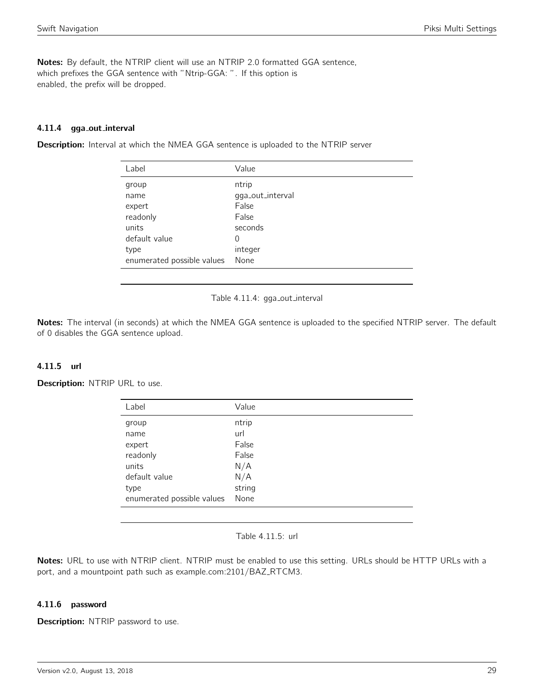Notes: By default, the NTRIP client will use an NTRIP 2.0 formatted GGA sentence, which prefixes the GGA sentence with "Ntrip-GGA: ". If this option is enabled, the prefix will be dropped.

# 4.11.4 gga out interval

<span id="page-28-0"></span>**Description:** Interval at which the NMEA GGA sentence is uploaded to the NTRIP server

| Label                      | Value            |
|----------------------------|------------------|
| group                      | ntrip            |
| name                       | gga_out_interval |
| expert                     | False            |
| readonly                   | False            |
| units                      | seconds          |
| default value              | 0                |
| type                       | integer          |
| enumerated possible values | None             |



Notes: The interval (in seconds) at which the NMEA GGA sentence is uploaded to the specified NTRIP server. The default of 0 disables the GGA sentence upload.

## 4.11.5 url

<span id="page-28-1"></span>Description: NTRIP URL to use.

| Label                      | Value  |
|----------------------------|--------|
| group                      | ntrip  |
| name                       | url    |
| expert                     | False  |
| readonly                   | False  |
| units                      | N/A    |
| default value              | N/A    |
| type                       | string |
| enumerated possible values | None   |
|                            |        |

Table 4.11.5: url

Notes: URL to use with NTRIP client. NTRIP must be enabled to use this setting. URLs should be HTTP URLs with a port, and a mountpoint path such as example.com:2101/BAZ\_RTCM3.

## 4.11.6 password

**Description:** NTRIP password to use.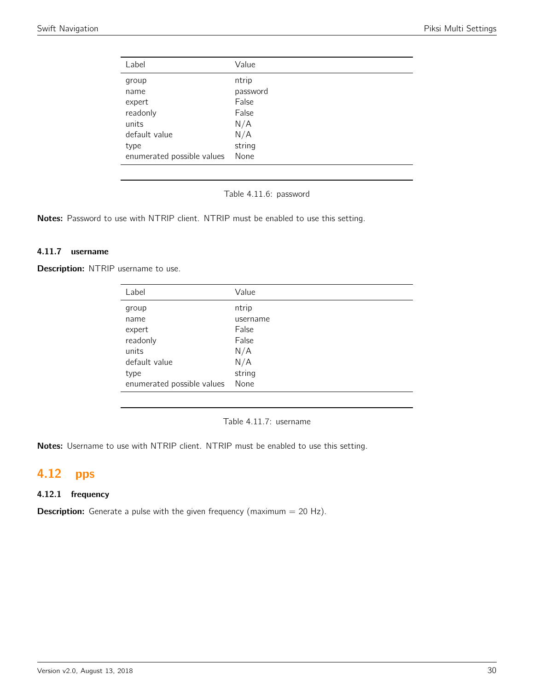<span id="page-29-0"></span>

| Value    |
|----------|
| ntrip    |
| password |
| False    |
| False    |
| N/A      |
| N/A      |
| string   |
| None     |
|          |

Table 4.11.6: password

Notes: Password to use with NTRIP client. NTRIP must be enabled to use this setting.

# 4.11.7 username

Description: NTRIP username to use.

| Value    |
|----------|
| ntrip    |
| username |
| False    |
| False    |
| N/A      |
| N/A      |
| string   |
| None     |
|          |

Table 4.11.7: username

Notes: Username to use with NTRIP client. NTRIP must be enabled to use this setting.

# <span id="page-29-1"></span>4.12 pps

# 4.12.1 frequency

**Description:** Generate a pulse with the given frequency (maximum  $= 20$  Hz).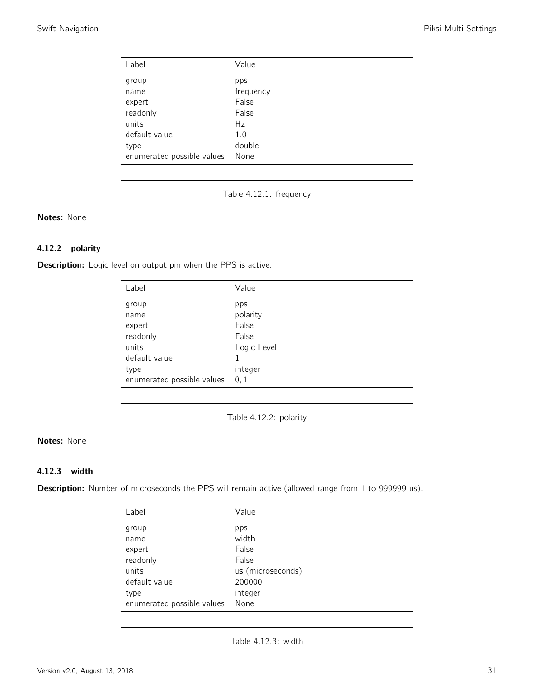<span id="page-30-0"></span>

| Label                      | Value     |
|----------------------------|-----------|
| group                      | pps       |
| name                       | frequency |
| expert                     | False     |
| readonly                   | False     |
| units                      | Hz        |
| default value              | 1.0       |
| type                       | double    |
| enumerated possible values | None      |

Table 4.12.1: frequency

# Notes: None

# 4.12.2 polarity

<span id="page-30-1"></span>Description: Logic level on output pin when the PPS is active.

| Label                      | Value       |
|----------------------------|-------------|
| group                      | pps         |
| name                       | polarity    |
| expert                     | False       |
| readonly                   | False       |
| units                      | Logic Level |
| default value              |             |
| type                       | integer     |
| enumerated possible values | 0, 1        |

Table 4.12.2: polarity

# Notes: None

# 4.12.3 width

<span id="page-30-2"></span>Description: Number of microseconds the PPS will remain active (allowed range from 1 to 999999 us).

| Label                      | Value             |
|----------------------------|-------------------|
| group                      | pps               |
| name                       | width             |
| expert                     | False             |
| readonly                   | False             |
| units                      | us (microseconds) |
| default value              | 200000            |
| type                       | integer           |
| enumerated possible values | None              |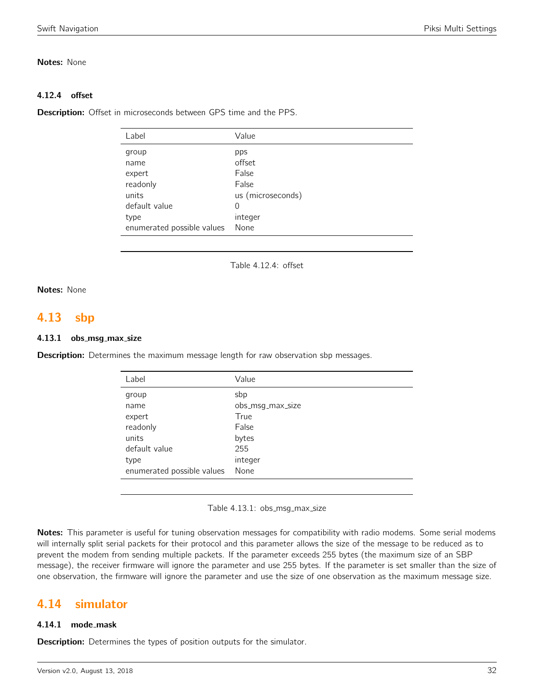# Notes: None

# 4.12.4 offset

Description: Offset in microseconds between GPS time and the PPS.

| Label                      | Value             |
|----------------------------|-------------------|
| group                      | pps               |
| name                       | offset            |
| expert                     | False             |
| readonly                   | False             |
| units                      | us (microseconds) |
| default value              | 0                 |
| type                       | integer           |
| enumerated possible values | None              |
|                            |                   |

Table 4.12.4: offset

# Notes: None

# <span id="page-31-0"></span>4.13 sbp

## 4.13.1 obs\_msg\_max\_size

**Description:** Determines the maximum message length for raw observation sbp messages.

| Label                      | Value            |
|----------------------------|------------------|
| group                      | sbp              |
| name                       | obs_msg_max_size |
| expert                     | True             |
| readonly                   | False            |
| units                      | bytes            |
| default value              | 255              |
| type                       | integer          |
| enumerated possible values | None             |

Table 4.13.1: obs\_msg\_max\_size

Notes: This parameter is useful for tuning observation messages for compatibility with radio modems. Some serial modems will internally split serial packets for their protocol and this parameter allows the size of the message to be reduced as to prevent the modem from sending multiple packets. If the parameter exceeds 255 bytes (the maximum size of an SBP message), the receiver firmware will ignore the parameter and use 255 bytes. If the parameter is set smaller than the size of one observation, the firmware will ignore the parameter and use the size of one observation as the maximum message size.

# <span id="page-31-1"></span>4.14 simulator

## 4.14.1 mode\_mask

**Description:** Determines the types of position outputs for the simulator.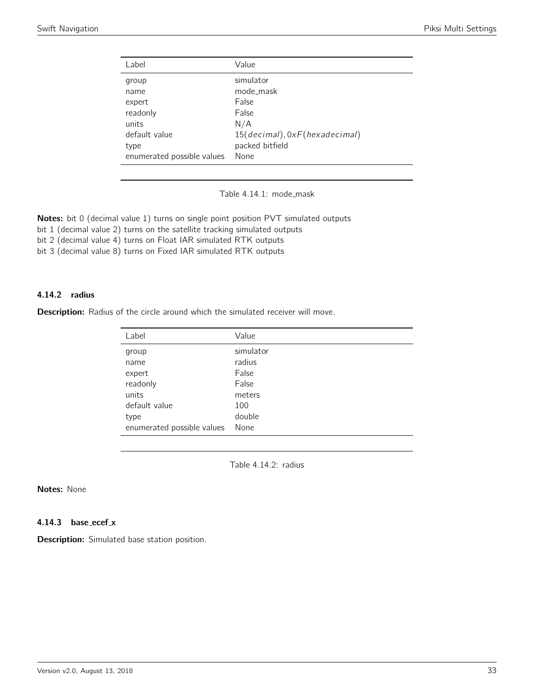<span id="page-32-0"></span>

| Label                      | Value                         |
|----------------------------|-------------------------------|
| group                      | simulator                     |
| name                       | mode_mask                     |
| expert                     | False                         |
| readonly                   | False                         |
| units                      | N/A                           |
| default value              | 15(decimal), 0xF(hexadecimal) |
| type                       | packed bitfield               |
| enumerated possible values | None                          |

Table 4.14.1: mode\_mask

Notes: bit 0 (decimal value 1) turns on single point position PVT simulated outputs

bit 1 (decimal value 2) turns on the satellite tracking simulated outputs

bit 2 (decimal value 4) turns on Float IAR simulated RTK outputs

bit 3 (decimal value 8) turns on Fixed IAR simulated RTK outputs

#### 4.14.2 radius

<span id="page-32-1"></span>Description: Radius of the circle around which the simulated receiver will move.

| Label                      | Value     |
|----------------------------|-----------|
| group                      | simulator |
| name                       | radius    |
| expert                     | False     |
| readonly                   | False     |
| units                      | meters    |
| default value              | 100       |
| type                       | double    |
| enumerated possible values | None      |

Table 4.14.2: radius

Notes: None

4.14.3 base\_ecef\_x

Description: Simulated base station position.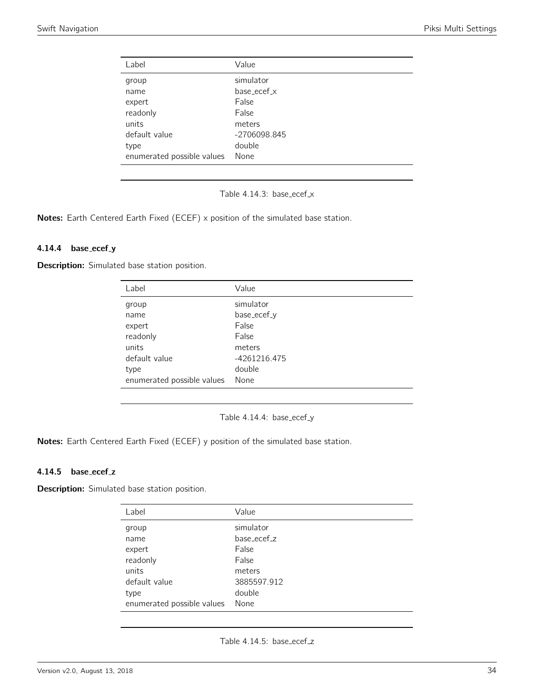<span id="page-33-0"></span>

| Value        |
|--------------|
| simulator    |
| base_ecef_x  |
| False        |
| False        |
| meters       |
| -2706098.845 |
| double       |
| None         |
|              |

Table 4.14.3: base\_ecef\_x

Notes: Earth Centered Earth Fixed (ECEF) x position of the simulated base station.

#### 4.14.4 base\_ecef\_y

<span id="page-33-1"></span>**Description:** Simulated base station position.

| Label                      | Value        |
|----------------------------|--------------|
| group                      | simulator    |
| name                       | base_ecef_y  |
| expert                     | False        |
| readonly                   | False        |
| units                      | meters       |
| default value              | -4261216.475 |
| type                       | double       |
| enumerated possible values | None         |

Table 4.14.4: base\_ecef\_y

Notes: Earth Centered Earth Fixed (ECEF) y position of the simulated base station.

# 4.14.5 base\_ecef\_z

<span id="page-33-2"></span>Description: Simulated base station position.

| Label                      | Value       |
|----------------------------|-------------|
| group                      | simulator   |
| name                       | base_ecef_z |
| expert                     | False       |
| readonly                   | False       |
| units                      | meters      |
| default value              | 3885597.912 |
| type                       | double      |
| enumerated possible values | None        |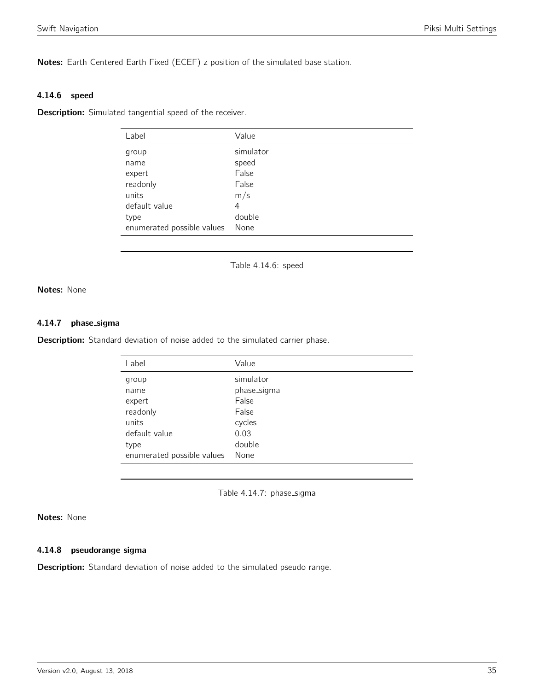Notes: Earth Centered Earth Fixed (ECEF) z position of the simulated base station.

#### 4.14.6 speed

<span id="page-34-0"></span>**Description:** Simulated tangential speed of the receiver.

| Label                      | Value     |
|----------------------------|-----------|
| group                      | simulator |
| name                       | speed     |
| expert                     | False     |
| readonly                   | False     |
| units                      | m/s       |
| default value              | 4         |
| type                       | double    |
| enumerated possible values | None      |

Table 4.14.6: speed

Notes: None

#### 4.14.7 phase sigma

<span id="page-34-1"></span>Description: Standard deviation of noise added to the simulated carrier phase.

| Label                      | Value       |
|----------------------------|-------------|
| group                      | simulator   |
| name                       | phase_sigma |
| expert                     | False       |
| readonly                   | False       |
| units                      | cycles      |
| default value              | 0.03        |
| type                       | double      |
| enumerated possible values | None        |

Table 4.14.7: phase\_sigma

# Notes: None

#### 4.14.8 pseudorange sigma

**Description:** Standard deviation of noise added to the simulated pseudo range.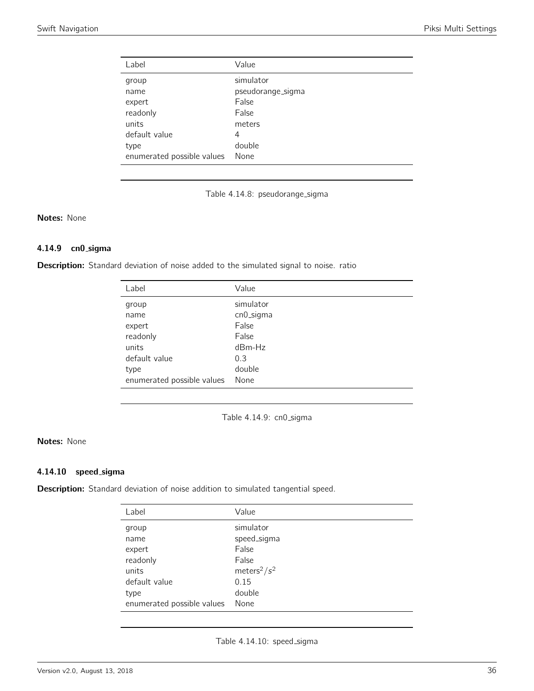<span id="page-35-0"></span>

| Label                      | Value             |
|----------------------------|-------------------|
| group                      | simulator         |
| name                       | pseudorange_sigma |
| expert                     | False             |
| readonly                   | False             |
| units                      | meters            |
| default value              | 4                 |
| type                       | double            |
| enumerated possible values | None              |

Table 4.14.8: pseudorange\_sigma

# Notes: None

# 4.14.9 cn0 sigma

<span id="page-35-1"></span>Description: Standard deviation of noise added to the simulated signal to noise. ratio

| Label                      | Value     |
|----------------------------|-----------|
| group                      | simulator |
| name                       | cn0_sigma |
| expert                     | False     |
| readonly                   | False     |
| units                      | $dBm-Hz$  |
| default value              | 0.3       |
| type                       | double    |
| enumerated possible values | None      |

Table 4.14.9: cn0\_sigma

# Notes: None

#### 4.14.10 speed sigma

<span id="page-35-2"></span>Description: Standard deviation of noise addition to simulated tangential speed.

| Label                      | Value                       |
|----------------------------|-----------------------------|
| group                      | simulator                   |
| name                       | speed_sigma                 |
| expert                     | False                       |
| readonly                   | False                       |
| units                      | meters <sup>2</sup> / $s^2$ |
| default value              | 0.15                        |
| type                       | double                      |
| enumerated possible values | None                        |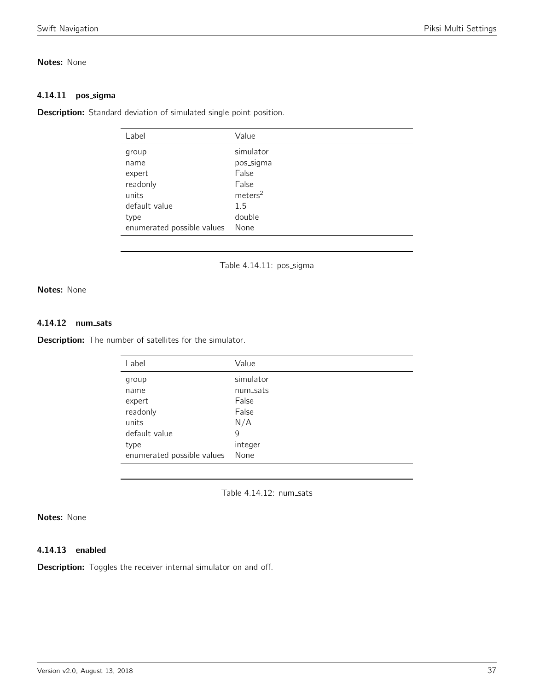## Notes: None

#### 4.14.11 pos\_sigma

Description: Standard deviation of simulated single point position.

| Label                      | Value               |
|----------------------------|---------------------|
| group                      | simulator           |
| name                       | pos_sigma           |
| expert                     | False               |
| readonly                   | False               |
| units                      | meters <sup>2</sup> |
| default value              | 1.5                 |
| type                       | double              |
| enumerated possible values | None                |
|                            |                     |

Table 4.14.11: pos\_sigma

Notes: None

## 4.14.12 num sats

**Description:** The number of satellites for the simulator.

| Label                      | Value     |
|----------------------------|-----------|
| group                      | simulator |
| name                       | num_sats  |
| expert                     | False     |
| readonly                   | False     |
| units                      | N/A       |
| default value              | 9         |
| type                       | integer   |
| enumerated possible values | None      |

Table 4.14.12: num\_sats

## Notes: None

#### 4.14.13 enabled

**Description:** Toggles the receiver internal simulator on and off.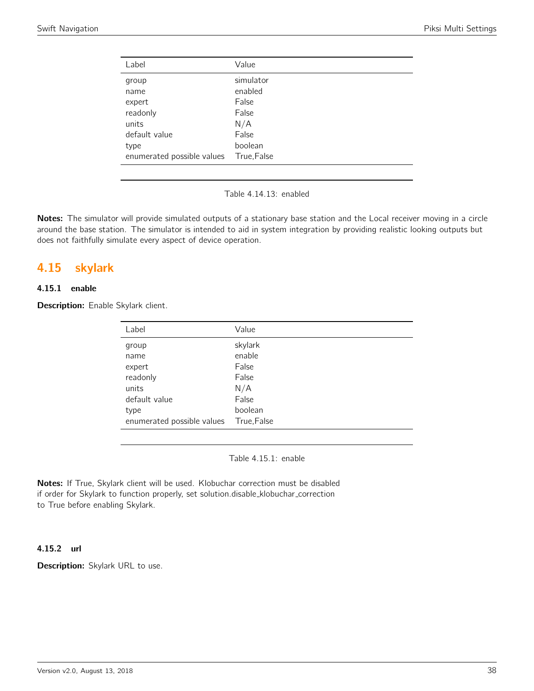| Label                      | Value       |
|----------------------------|-------------|
| group                      | simulator   |
| name                       | enabled     |
| expert                     | False       |
| readonly                   | False       |
| units                      | N/A         |
| default value              | False       |
| type                       | boolean     |
| enumerated possible values | True, False |

Table 4.14.13: enabled

Notes: The simulator will provide simulated outputs of a stationary base station and the Local receiver moving in a circle around the base station. The simulator is intended to aid in system integration by providing realistic looking outputs but does not faithfully simulate every aspect of device operation.

# 4.15 skylark

#### 4.15.1 enable

Description: Enable Skylark client.

| Label                      | Value       |
|----------------------------|-------------|
| group                      | skylark     |
| name                       | enable      |
| expert                     | False       |
| readonly                   | False       |
| units                      | N/A         |
| default value              | False       |
| type                       | boolean     |
| enumerated possible values | True, False |

Table 4.15.1: enable

Notes: If True, Skylark client will be used. Klobuchar correction must be disabled if order for Skylark to function properly, set solution.disable\_klobuchar\_correction to True before enabling Skylark.

#### 4.15.2 url

Description: Skylark URL to use.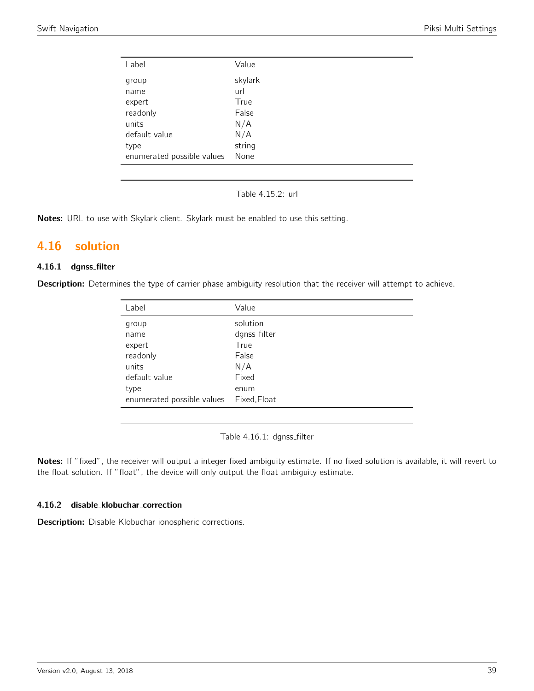| Label                      | Value   |
|----------------------------|---------|
| group                      | skylark |
| name                       | url     |
| expert                     | True    |
| readonly                   | False   |
| units                      | N/A     |
| default value              | N/A     |
| type                       | string  |
| enumerated possible values | None    |

Table 4.15.2: url

Notes: URL to use with Skylark client. Skylark must be enabled to use this setting.

# 4.16 solution

## 4.16.1 dgnss filter

Description: Determines the type of carrier phase ambiguity resolution that the receiver will attempt to achieve.

| Label                      | Value        |
|----------------------------|--------------|
| group                      | solution     |
| name                       | dgnss_filter |
| expert                     | True         |
| readonly                   | False        |
| units                      | N/A          |
| default value              | Fixed        |
| type                       | enum         |
| enumerated possible values | Fixed, Float |

Table 4.16.1: dgnss\_filter

Notes: If "fixed", the receiver will output a integer fixed ambiguity estimate. If no fixed solution is available, it will revert to the float solution. If "float", the device will only output the float ambiguity estimate.

#### 4.16.2 disable klobuchar correction

Description: Disable Klobuchar ionospheric corrections.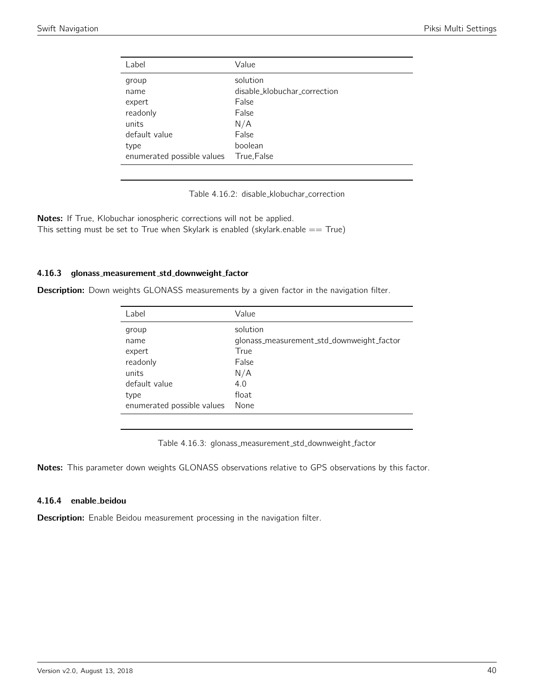| Label                      | Value                        |
|----------------------------|------------------------------|
| group                      | solution                     |
| name                       | disable_klobuchar_correction |
| expert                     | False                        |
| readonly                   | False                        |
| units                      | N/A                          |
| default value              | False                        |
| type                       | boolean                      |
| enumerated possible values | True, False                  |
|                            |                              |

Table 4.16.2: disable klobuchar correction

Notes: If True, Klobuchar ionospheric corrections will not be applied. This setting must be set to True when Skylark is enabled (skylark.enable  $==$  True)

#### 4.16.3 glonass measurement std downweight factor

**Description:** Down weights GLONASS measurements by a given factor in the navigation filter.

| Label                      | Value                                     |
|----------------------------|-------------------------------------------|
| group                      | solution                                  |
| name                       | glonass_measurement_std_downweight_factor |
| expert                     | True                                      |
| readonly                   | False                                     |
| units                      | N/A                                       |
| default value              | 4.0                                       |
| type                       | float                                     |
| enumerated possible values | None                                      |

Table 4.16.3: glonass\_measurement\_std\_downweight\_factor

Notes: This parameter down weights GLONASS observations relative to GPS observations by this factor.

## 4.16.4 enable beidou

Description: Enable Beidou measurement processing in the navigation filter.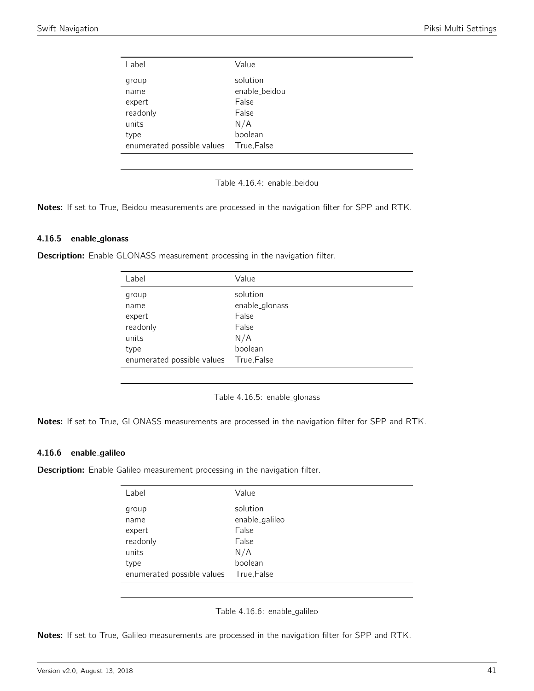| Label                      | Value                     |
|----------------------------|---------------------------|
| group<br>name              | solution<br>enable_beidou |
| expert                     | False                     |
| readonly<br>units          | False<br>N/A              |
| type                       | boolean                   |
| enumerated possible values | True, False               |

Table 4.16.4: enable\_beidou

Notes: If set to True, Beidou measurements are processed in the navigation filter for SPP and RTK.

#### 4.16.5 enable glonass

**Description:** Enable GLONASS measurement processing in the navigation filter.

| Label                      | Value          |
|----------------------------|----------------|
| group                      | solution       |
| name                       | enable_glonass |
| expert                     | False          |
| readonly                   | False          |
| units                      | N/A            |
| type                       | boolean        |
| enumerated possible values | True, False    |

Table 4.16.5: enable\_glonass

Notes: If set to True, GLONASS measurements are processed in the navigation filter for SPP and RTK.

#### 4.16.6 enable galileo

**Description:** Enable Galileo measurement processing in the navigation filter.

| Label                                                | Value                                                          |
|------------------------------------------------------|----------------------------------------------------------------|
| group<br>name<br>expert<br>readonly<br>units<br>type | solution<br>enable_galileo<br>False<br>False<br>N/A<br>boolean |
| enumerated possible values                           | True,False                                                     |

Table 4.16.6: enable galileo

Notes: If set to True, Galileo measurements are processed in the navigation filter for SPP and RTK.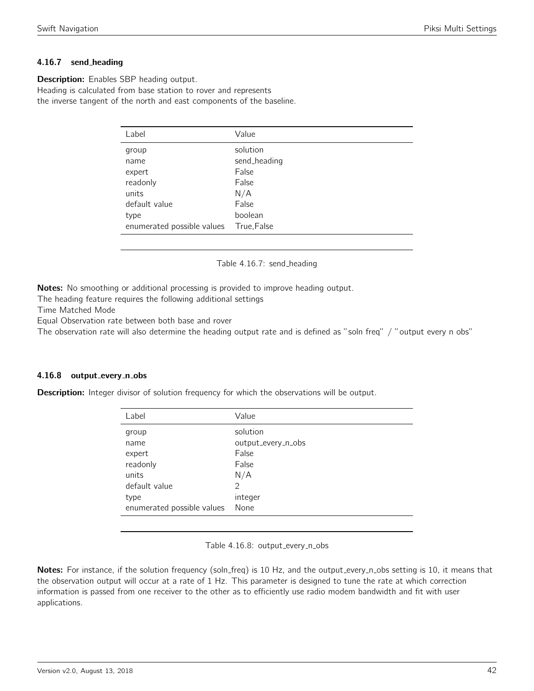## 4.16.7 send heading

**Description:** Enables SBP heading output. Heading is calculated from base station to rover and represents the inverse tangent of the north and east components of the baseline.

| Label                      | Value        |
|----------------------------|--------------|
| group                      | solution     |
| name                       | send_heading |
| expert                     | False        |
| readonly                   | False        |
| units                      | N/A          |
| default value              | False        |
| type                       | boolean      |
| enumerated possible values | True, False  |

#### Table 4.16.7: send\_heading

Notes: No smoothing or additional processing is provided to improve heading output.

The heading feature requires the following additional settings

Time Matched Mode

Equal Observation rate between both base and rover

The observation rate will also determine the heading output rate and is defined as "soln freq" / "output every n obs"

#### 4.16.8 output\_every\_n\_obs

**Description:** Integer divisor of solution frequency for which the observations will be output.

| Label                      | Value              |
|----------------------------|--------------------|
| group                      | solution           |
| name                       | output_every_n_obs |
| expert                     | False              |
| readonly                   | False              |
| units                      | N/A                |
| default value              | $\mathcal{P}$      |
| type                       | integer            |
| enumerated possible values | None               |

Table 4.16.8: output\_every\_n\_obs

Notes: For instance, if the solution frequency (soln\_freq) is 10 Hz, and the output\_every\_n\_obs setting is 10, it means that the observation output will occur at a rate of 1 Hz. This parameter is designed to tune the rate at which correction information is passed from one receiver to the other as to efficiently use radio modem bandwidth and fit with user applications.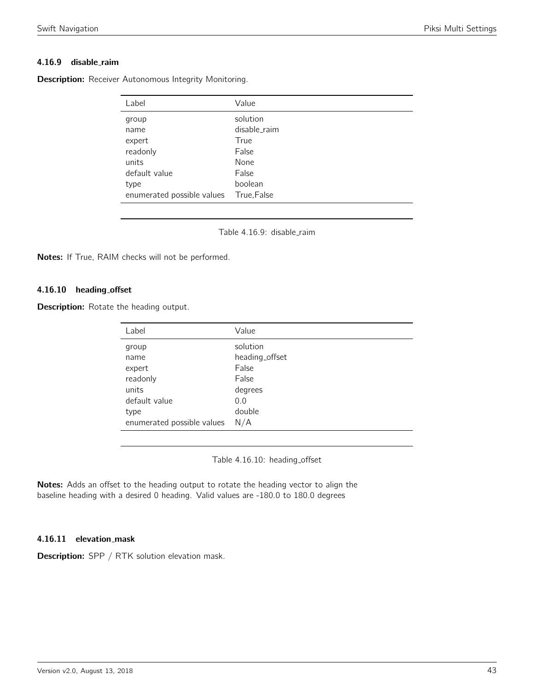## 4.16.9 disable\_raim

Description: Receiver Autonomous Integrity Monitoring.

| Label                      | Value        |
|----------------------------|--------------|
| group                      | solution     |
| name                       | disable_raim |
| expert                     | True         |
| readonly                   | False        |
| units                      | None         |
| default value              | False        |
| type                       | boolean      |
| enumerated possible values | True, False  |

Table 4.16.9: disable\_raim

Notes: If True, RAIM checks will not be performed.

#### 4.16.10 heading offset

**Description:** Rotate the heading output.

| Label                      | Value          |
|----------------------------|----------------|
| group                      | solution       |
| name                       | heading_offset |
| expert                     | False          |
| readonly                   | False          |
| units                      | degrees        |
| default value              | 0.0            |
| type                       | double         |
| enumerated possible values | N/A            |

Table 4.16.10: heading\_offset

Notes: Adds an offset to the heading output to rotate the heading vector to align the baseline heading with a desired 0 heading. Valid values are -180.0 to 180.0 degrees

#### 4.16.11 elevation mask

Description: SPP / RTK solution elevation mask.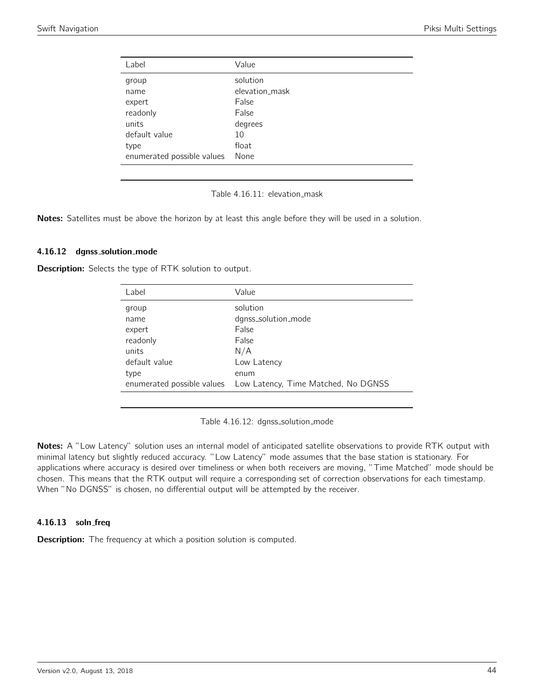| Label                      | Value          |
|----------------------------|----------------|
| group                      | solution       |
| name                       | elevation_mask |
| expert                     | False          |
| readonly                   | False          |
| units                      | degrees        |
| default value              | 10             |
| type                       | float          |
| enumerated possible values | None           |

Table 4.16.11: elevation\_mask

Notes: Satellites must be above the horizon by at least this angle before they will be used in a solution.

#### 4.16.12 dgnss solution mode

Description: Selects the type of RTK solution to output.

| Label         | Value                                                           |
|---------------|-----------------------------------------------------------------|
| group         | solution                                                        |
| name          | dgnss_solution_mode                                             |
| expert        | False                                                           |
| readonly      | False                                                           |
| units         | N/A                                                             |
| default value | Low Latency                                                     |
| type          | enum                                                            |
|               | enumerated possible values  Low Latency, Time Matched, No DGNSS |

Table 4.16.12: dgnss\_solution\_mode

Notes: A "Low Latency" solution uses an internal model of anticipated satellite observations to provide RTK output with minimal latency but slightly reduced accuracy. "Low Latency" mode assumes that the base station is stationary. For applications where accuracy is desired over timeliness or when both receivers are moving, "Time Matched" mode should be chosen. This means that the RTK output will require a corresponding set of correction observations for each timestamp. When "No DGNSS" is chosen, no differential output will be attempted by the receiver.

#### 4.16.13 soln freq

**Description:** The frequency at which a position solution is computed.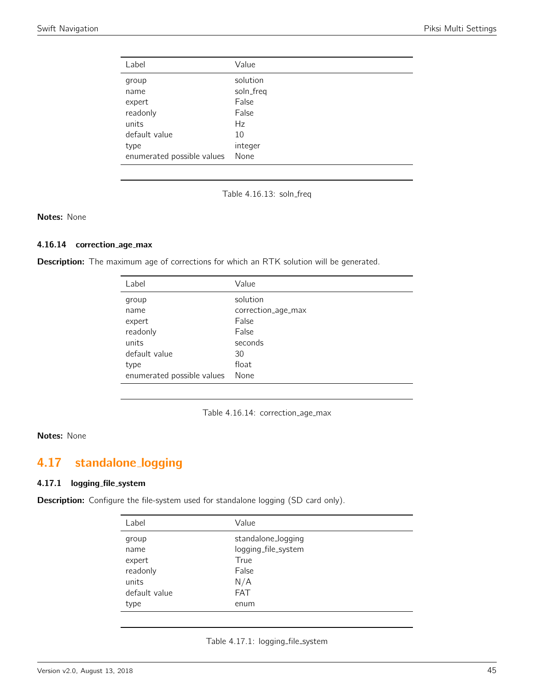| Label                      | Value     |
|----------------------------|-----------|
| group                      | solution  |
| name                       | soln_freq |
| expert                     | False     |
| readonly                   | False     |
| units                      | Hz        |
| default value              | 10        |
| type                       | integer   |
| enumerated possible values | None      |

Table 4.16.13: soln\_freq

Notes: None

## 4.16.14 correction\_age\_max

Description: The maximum age of corrections for which an RTK solution will be generated.

| Label                      | Value              |
|----------------------------|--------------------|
| group                      | solution           |
| name                       | correction_age_max |
| expert                     | False              |
| readonly                   | False              |
| units                      | seconds            |
| default value              | 30                 |
| type                       | float              |
| enumerated possible values | None               |

Table 4.16.14: correction\_age\_max

#### Notes: None

# 4.17 standalone logging

#### 4.17.1 logging file system

Description: Configure the file-system used for standalone logging (SD card only).

| Label         | Value               |
|---------------|---------------------|
| group         | standalone_logging  |
| name          | logging_file_system |
| expert        | True                |
| readonly      | False               |
| units         | N/A                 |
| default value | <b>FAT</b>          |
| type          | enum                |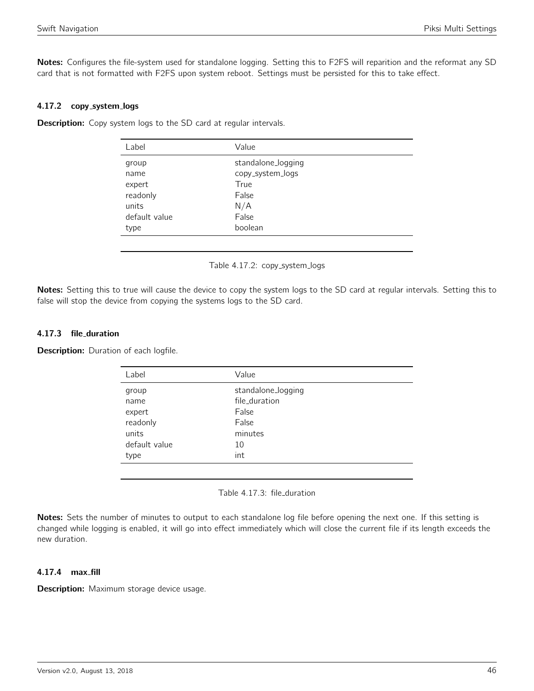Notes: Configures the file-system used for standalone logging. Setting this to F2FS will reparition and the reformat any SD card that is not formatted with F2FS upon system reboot. Settings must be persisted for this to take effect.

#### 4.17.2 copy system logs

**Description:** Copy system logs to the SD card at regular intervals.

| standalone_logging<br>copy_system_logs |
|----------------------------------------|
|                                        |
|                                        |
| True                                   |
| False                                  |
| N/A                                    |
| False                                  |
| boolean                                |
|                                        |

Table 4.17.2: copy\_system\_logs

Notes: Setting this to true will cause the device to copy the system logs to the SD card at regular intervals. Setting this to false will stop the device from copying the systems logs to the SD card.

#### 4.17.3 file duration

**Description:** Duration of each logfile.

| Label         | Value              |
|---------------|--------------------|
| group         | standalone_logging |
| name          | file_duration      |
| expert        | False              |
| readonly      | False              |
| units         | minutes            |
| default value | 10                 |
| type          | int                |

Table 4.17.3: file duration

Notes: Sets the number of minutes to output to each standalone log file before opening the next one. If this setting is changed while logging is enabled, it will go into effect immediately which will close the current file if its length exceeds the new duration.

#### 4.17.4 max fill

Description: Maximum storage device usage.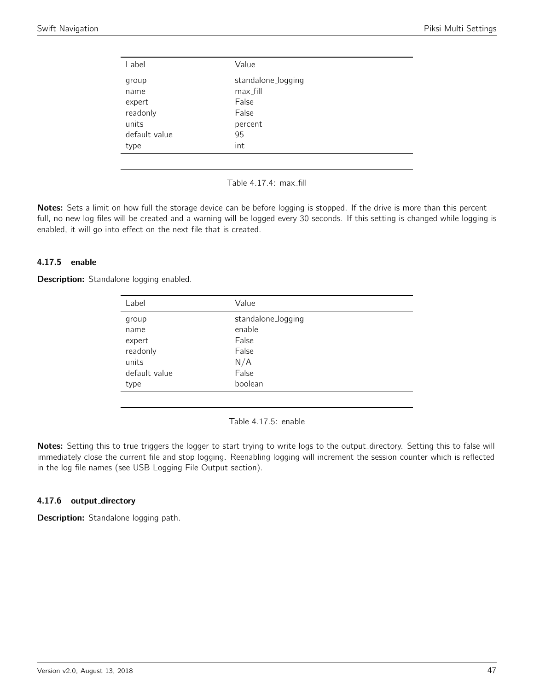| Label         | Value              |
|---------------|--------------------|
| group         | standalone_logging |
| name          | max_fill           |
| expert        | False              |
| readonly      | False              |
| units         | percent            |
| default value | 95                 |
| type          | int                |
|               |                    |

Table 4.17.4: max\_fill

Notes: Sets a limit on how full the storage device can be before logging is stopped. If the drive is more than this percent full, no new log files will be created and a warning will be logged every 30 seconds. If this setting is changed while logging is enabled, it will go into effect on the next file that is created.

#### 4.17.5 enable

**Description:** Standalone logging enabled.

| Label         | Value              |
|---------------|--------------------|
| group         | standalone_logging |
| name          | enable             |
| expert        | False              |
| readonly      | False              |
| units         | N/A                |
| default value | False              |
| type          | boolean            |
|               |                    |

Table 4.17.5: enable

Notes: Setting this to true triggers the logger to start trying to write logs to the output\_directory. Setting this to false will immediately close the current file and stop logging. Reenabling logging will increment the session counter which is reflected in the log file names (see USB Logging File Output section).

#### 4.17.6 output\_directory

Description: Standalone logging path.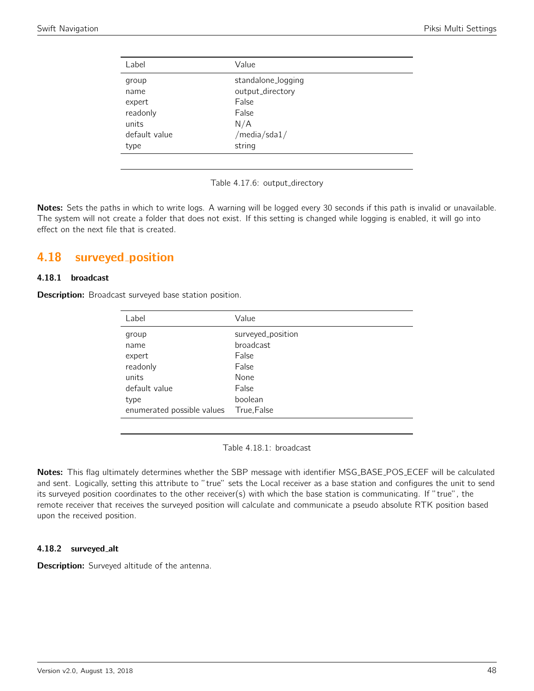| Label                              | Value                                           |  |
|------------------------------------|-------------------------------------------------|--|
| group<br>name<br>expert            | standalone_logging<br>output_directory<br>False |  |
| readonly<br>units<br>default value | False<br>N/A<br>/media/sda1/                    |  |
| type                               | string                                          |  |

Table 4.17.6: output\_directory

Notes: Sets the paths in which to write logs. A warning will be logged every 30 seconds if this path is invalid or unavailable. The system will not create a folder that does not exist. If this setting is changed while logging is enabled, it will go into effect on the next file that is created.

# 4.18 surveyed position

#### 4.18.1 broadcast

**Description:** Broadcast surveyed base station position.

| Label                      | Value             |
|----------------------------|-------------------|
| group                      | surveyed_position |
| name                       | <b>broadcast</b>  |
| expert                     | False             |
| readonly                   | False             |
| units                      | None              |
| default value              | False             |
| type                       | boolean           |
| enumerated possible values | True, False       |

Table 4.18.1: broadcast

Notes: This flag ultimately determines whether the SBP message with identifier MSG\_BASE\_POS\_ECEF will be calculated and sent. Logically, setting this attribute to "true" sets the Local receiver as a base station and configures the unit to send its surveyed position coordinates to the other receiver(s) with which the base station is communicating. If "true", the remote receiver that receives the surveyed position will calculate and communicate a pseudo absolute RTK position based upon the received position.

#### 4.18.2 surveyed alt

Description: Surveyed altitude of the antenna.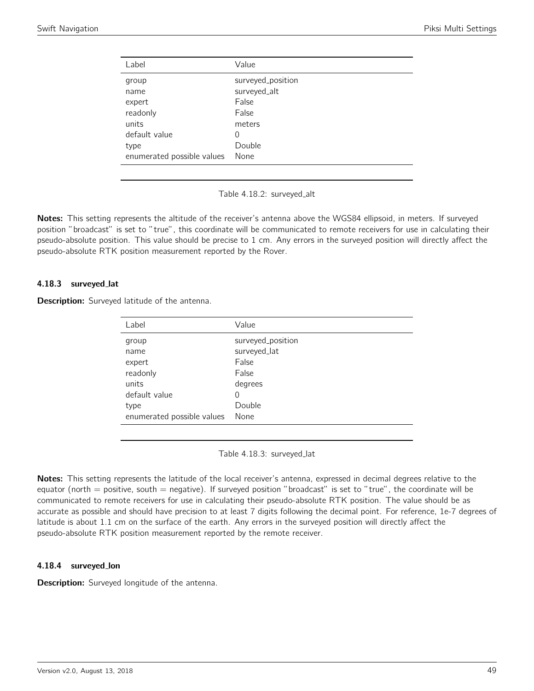| Label                      | Value             |
|----------------------------|-------------------|
| group                      | surveyed_position |
| name                       | surveyed_alt      |
| expert                     | False             |
| readonly                   | False             |
| units                      | meters            |
| default value              | 0                 |
| type                       | Double            |
| enumerated possible values | None              |

Table 4.18.2: surveyed\_alt

Notes: This setting represents the altitude of the receiver's antenna above the WGS84 ellipsoid, in meters. If surveyed position "broadcast" is set to "true", this coordinate will be communicated to remote receivers for use in calculating their pseudo-absolute position. This value should be precise to 1 cm. Any errors in the surveyed position will directly affect the pseudo-absolute RTK position measurement reported by the Rover.

#### 4.18.3 surveyed lat

Description: Surveyed latitude of the antenna.

| Value             |
|-------------------|
| surveyed_position |
| surveyed_lat      |
| False             |
| False             |
| degrees           |
| 0                 |
| Double            |
| None              |
|                   |

Table 4.18.3: surveyed lat

Notes: This setting represents the latitude of the local receiver's antenna, expressed in decimal degrees relative to the equator (north  $=$  positive, south  $=$  negative). If surveyed position "broadcast" is set to "true", the coordinate will be communicated to remote receivers for use in calculating their pseudo-absolute RTK position. The value should be as accurate as possible and should have precision to at least 7 digits following the decimal point. For reference, 1e-7 degrees of latitude is about 1.1 cm on the surface of the earth. Any errors in the surveyed position will directly affect the pseudo-absolute RTK position measurement reported by the remote receiver.

#### 4.18.4 surveyed lon

**Description:** Surveyed longitude of the antenna.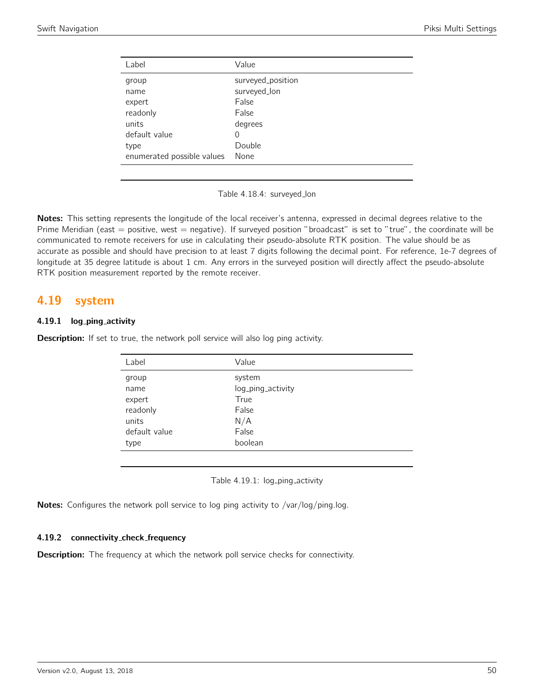| Label                      | Value             |
|----------------------------|-------------------|
| group                      | surveyed_position |
| name                       | surveyed_lon      |
| expert                     | False             |
| readonly                   | False             |
| units                      | degrees           |
| default value              | 0                 |
| type                       | Double            |
| enumerated possible values | None              |

Table 4.18.4: surveyed lon

Notes: This setting represents the longitude of the local receiver's antenna, expressed in decimal degrees relative to the Prime Meridian (east  $=$  positive, west  $=$  negative). If surveyed position "broadcast" is set to "true", the coordinate will be communicated to remote receivers for use in calculating their pseudo-absolute RTK position. The value should be as accurate as possible and should have precision to at least 7 digits following the decimal point. For reference, 1e-7 degrees of longitude at 35 degree latitude is about 1 cm. Any errors in the surveyed position will directly affect the pseudo-absolute RTK position measurement reported by the remote receiver.

## 4.19 system

#### 4.19.1 log\_ping\_activity

**Description:** If set to true, the network poll service will also log ping activity.

| Label         | Value             |
|---------------|-------------------|
| group         | system            |
| name          | log_ping_activity |
| expert        | True              |
| readonly      | False             |
| units         | N/A               |
| default value | False             |
| type          | boolean           |
|               |                   |

Table 4.19.1: log\_ping\_activity

Notes: Configures the network poll service to log ping activity to /var/log/ping.log.

#### 4.19.2 connectivity\_check\_frequency

**Description:** The frequency at which the network poll service checks for connectivity.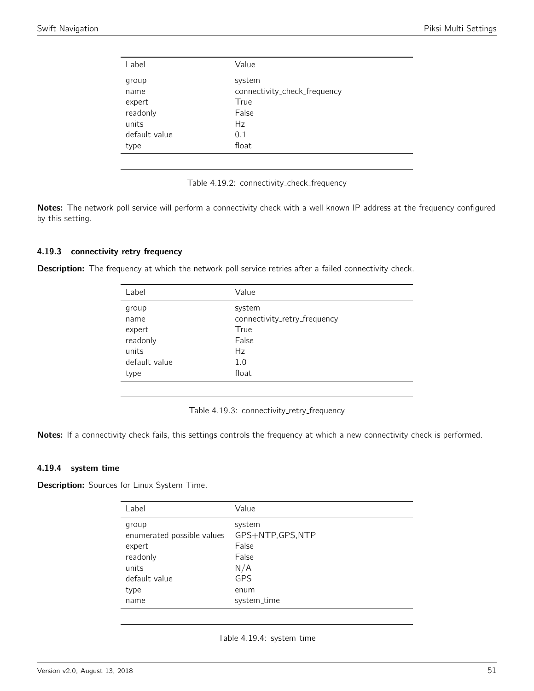| Label         | Value                        |
|---------------|------------------------------|
| group         | system                       |
| name          | connectivity_check_frequency |
| expert        | True                         |
| readonly      | False                        |
| units         | Hz                           |
| default value | 0.1                          |
| type          | float                        |
|               |                              |

Table 4.19.2: connectivity check frequency

Notes: The network poll service will perform a connectivity check with a well known IP address at the frequency configured by this setting.

#### 4.19.3 connectivity\_retry\_frequency

Description: The frequency at which the network poll service retries after a failed connectivity check.

| Label         | Value                        |
|---------------|------------------------------|
| group         | system                       |
| name          | connectivity_retry_frequency |
| expert        | True                         |
| readonly      | False                        |
| units         | Hz                           |
| default value | 1.0                          |
| type          | float                        |

Table 4.19.3: connectivity\_retry\_frequency

Notes: If a connectivity check fails, this settings controls the frequency at which a new connectivity check is performed.

#### 4.19.4 system time

**Description:** Sources for Linux System Time.

| Label                                                                                               | Value                                                                                     |
|-----------------------------------------------------------------------------------------------------|-------------------------------------------------------------------------------------------|
| group<br>enumerated possible values<br>expert<br>readonly<br>units<br>default value<br>type<br>name | system<br>GPS+NTP, GPS, NTP<br>False<br>False<br>N/A<br><b>GPS</b><br>enum<br>system_time |
|                                                                                                     |                                                                                           |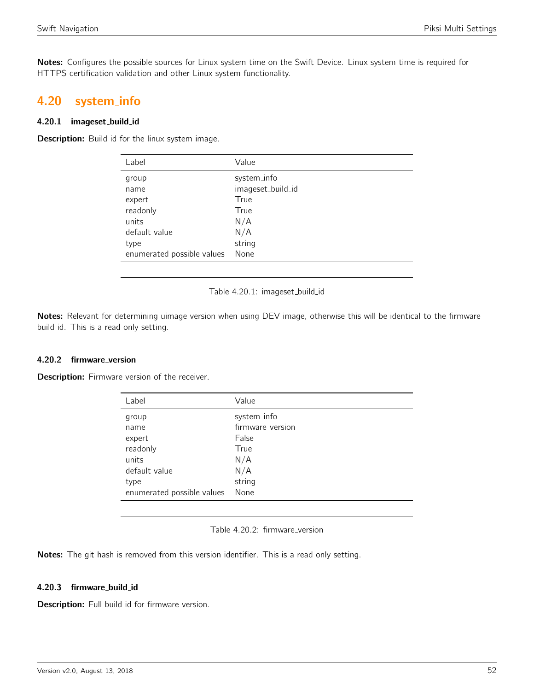Notes: Configures the possible sources for Linux system time on the Swift Device. Linux system time is required for HTTPS certification validation and other Linux system functionality.

# 4.20 system info

### 4.20.1 imageset build id

Description: Build id for the linux system image.

| Label                      | Value             |
|----------------------------|-------------------|
| group                      | system_info       |
| name                       | imageset_build_id |
| expert                     | True              |
| readonly                   | True              |
| units                      | N/A               |
| default value              | N/A               |
| type                       | string            |
| enumerated possible values | None              |

Table 4.20.1: imageset\_build\_id

Notes: Relevant for determining uimage version when using DEV image, otherwise this will be identical to the firmware build id. This is a read only setting.

## 4.20.2 firmware\_version

Description: Firmware version of the receiver.

| Label                      | Value            |
|----------------------------|------------------|
| group                      | system_info      |
| name                       | firmware_version |
| expert                     | False            |
| readonly                   | True             |
| units                      | N/A              |
| default value              | N/A              |
| type                       | string           |
| enumerated possible values | None             |
|                            |                  |

|  | Table 4.20.2: firmware_version |  |
|--|--------------------------------|--|
|  |                                |  |

Notes: The git hash is removed from this version identifier. This is a read only setting.

#### 4.20.3 firmware build id

Description: Full build id for firmware version.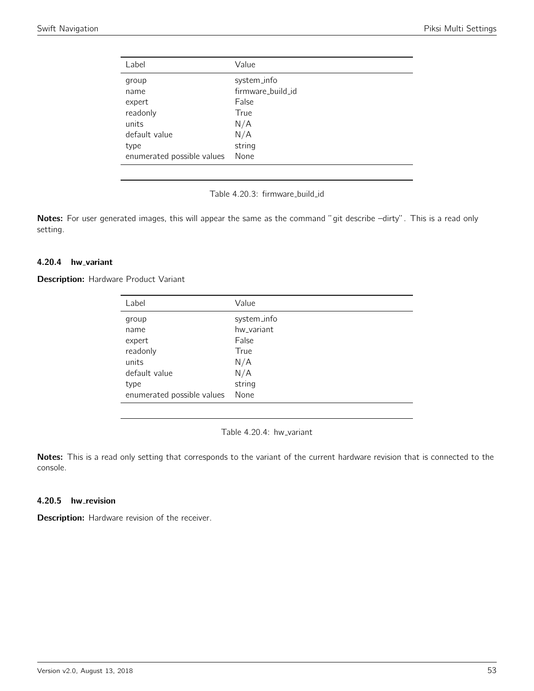| Label                      | Value             |
|----------------------------|-------------------|
| group                      | system_info       |
| name                       | firmware_build_id |
| expert                     | False             |
| readonly                   | True              |
| units                      | N/A               |
| default value              | N/A               |
| type                       | string            |
| enumerated possible values | None              |
|                            |                   |

Table 4.20.3: firmware\_build\_id

Notes: For user generated images, this will appear the same as the command "git describe -dirty". This is a read only setting.

#### 4.20.4 hw\_variant

**Description:** Hardware Product Variant

| Label                      | Value       |
|----------------------------|-------------|
| group                      | system_info |
| name                       | hw variant  |
| expert                     | False       |
| readonly                   | True        |
| units                      | N/A         |
| default value              | N/A         |
| type                       | string      |
| enumerated possible values | None        |

Table 4.20.4: hw\_variant

Notes: This is a read only setting that corresponds to the variant of the current hardware revision that is connected to the console.

#### 4.20.5 hw\_revision

Description: Hardware revision of the receiver.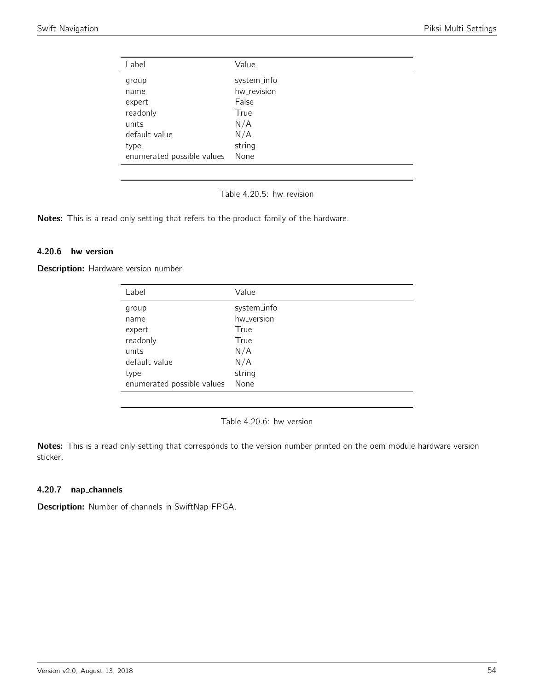| Label                      | Value       |
|----------------------------|-------------|
| group                      | system_info |
| name                       | hw_revision |
| expert                     | False       |
| readonly                   | True        |
| units                      | N/A         |
| default value              | N/A         |
| type                       | string      |
| enumerated possible values | None        |
|                            |             |

Table 4.20.5: hw\_revision

Notes: This is a read only setting that refers to the product family of the hardware.

## 4.20.6 hw\_version

Description: Hardware version number.

| Label                      | Value       |
|----------------------------|-------------|
| group                      | system_info |
| name                       | hw_version  |
| expert                     | True        |
| readonly                   | True        |
| units                      | N/A         |
| default value              | N/A         |
| type                       | string      |
| enumerated possible values | None        |

Table 4.20.6: hw\_version

Notes: This is a read only setting that corresponds to the version number printed on the oem module hardware version sticker.

## 4.20.7 nap channels

Description: Number of channels in SwiftNap FPGA.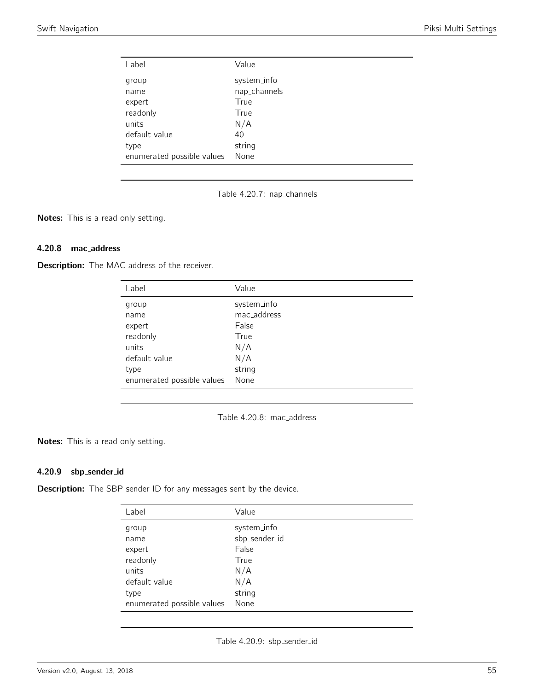| Label                      | Value        |
|----------------------------|--------------|
| group                      | system_info  |
| name                       | nap_channels |
| expert                     | True         |
| readonly                   | True         |
| units                      | N/A          |
| default value              | 40           |
| type                       | string       |
| enumerated possible values | None         |

Table 4.20.7: nap\_channels

Notes: This is a read only setting.

### 4.20.8 mac address

**Description:** The MAC address of the receiver.

| Label                      | Value       |
|----------------------------|-------------|
| group                      | system_info |
| name                       | mac_address |
| expert                     | False       |
| readonly                   | True        |
| units                      | N/A         |
| default value              | N/A         |
| type                       | string      |
| enumerated possible values | None        |

Table 4.20.8: mac\_address

Notes: This is a read only setting.

## 4.20.9 sbp sender id

**Description:** The SBP sender ID for any messages sent by the device.

| Label                      | Value         |
|----------------------------|---------------|
| group                      | system_info   |
| name                       | sbp_sender_id |
| expert                     | False         |
| readonly                   | True          |
| units                      | N/A           |
| default value              | N/A           |
| type                       | string        |
| enumerated possible values | None          |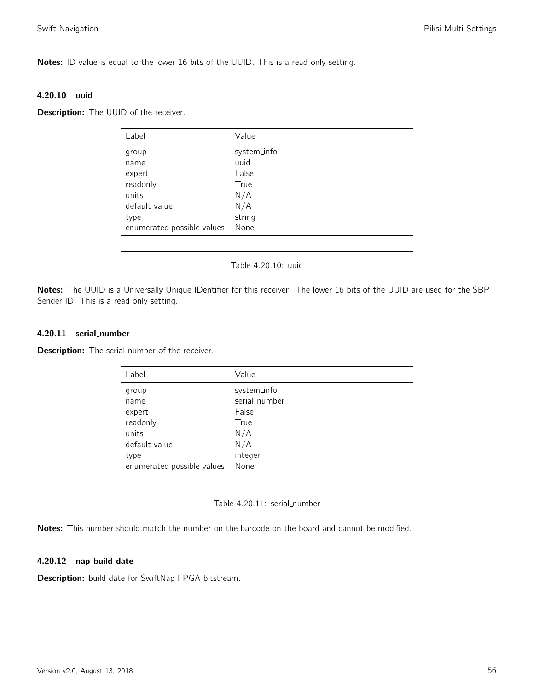Notes: ID value is equal to the lower 16 bits of the UUID. This is a read only setting.

#### 4.20.10 uuid

**Description:** The UUID of the receiver.

| Label                      | Value       |
|----------------------------|-------------|
| group                      | system_info |
| name                       | uuid        |
| expert                     | False       |
| readonly                   | True        |
| units                      | N/A         |
| default value              | N/A         |
| type                       | string      |
| enumerated possible values | None        |
|                            |             |

#### Table 4.20.10: uuid

Notes: The UUID is a Universally Unique IDentifier for this receiver. The lower 16 bits of the UUID are used for the SBP Sender ID. This is a read only setting.

#### 4.20.11 serial number

**Description:** The serial number of the receiver.

| Label                      | Value         |
|----------------------------|---------------|
| group                      | system_info   |
| name                       | serial_number |
| expert                     | False         |
| readonly                   | True          |
| units                      | N/A           |
| default value              | N/A           |
| type                       | integer       |
| enumerated possible values | None          |

#### Table 4.20.11: serial\_number

Notes: This number should match the number on the barcode on the board and cannot be modified.

#### 4.20.12 nap build date

Description: build date for SwiftNap FPGA bitstream.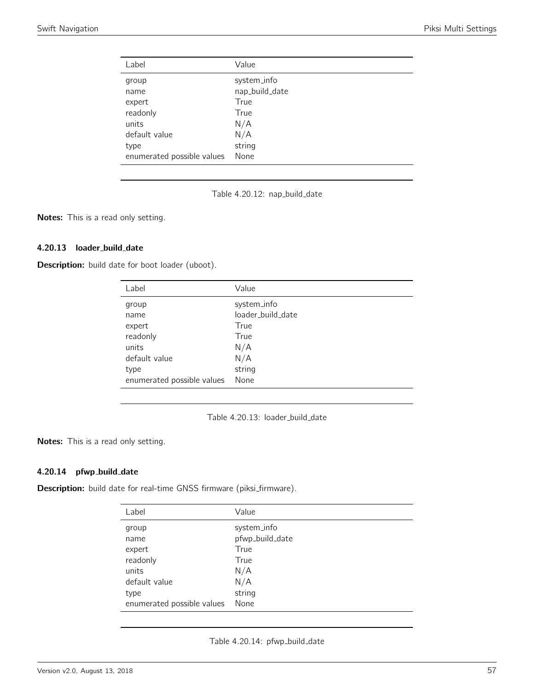| Label                      | Value          |
|----------------------------|----------------|
| group                      | system_info    |
| name                       | nap_build_date |
| expert                     | True           |
| readonly                   | True           |
| units                      | N/A            |
| default value              | N/A            |
| type                       | string         |
| enumerated possible values | None           |

Table 4.20.12: nap\_build\_date

Notes: This is a read only setting.

## 4.20.13 loader\_build\_date

Description: build date for boot loader (uboot).

| Label                      | Value             |
|----------------------------|-------------------|
| group                      | system_info       |
| name                       | loader_build_date |
| expert                     | True              |
| readonly                   | True              |
| units                      | N/A               |
| default value              | N/A               |
| type                       | string            |
| enumerated possible values | None              |

Table 4.20.13: loader\_build\_date

Notes: This is a read only setting.

## 4.20.14 pfwp\_build\_date

Description: build date for real-time GNSS firmware (piksi\_firmware).

| Label                      | Value           |
|----------------------------|-----------------|
| group                      | system_info     |
| name                       | pfwp_build_date |
| expert                     | True            |
| readonly                   | True            |
| units                      | N/A             |
| default value              | N/A             |
| type                       | string          |
| enumerated possible values | None            |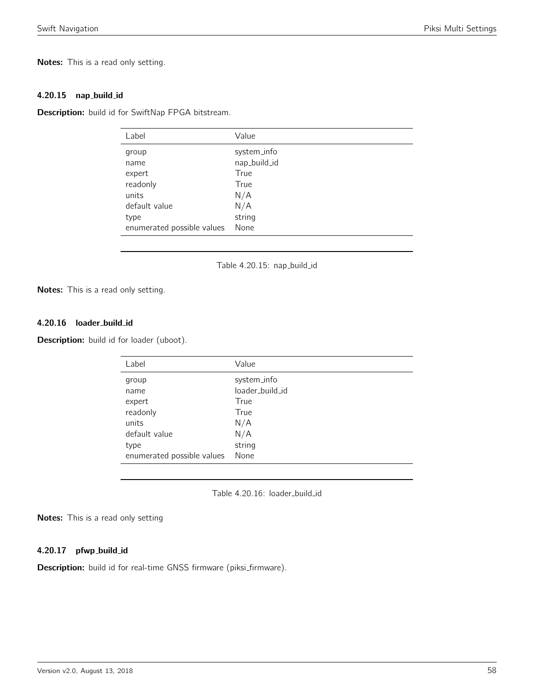Notes: This is a read only setting.

#### 4.20.15 nap build id

Description: build id for SwiftNap FPGA bitstream.

| Label                      | Value        |
|----------------------------|--------------|
| group                      | system_info  |
| name                       | nap_build_id |
| expert                     | True         |
| readonly                   | True         |
| units                      | N/A          |
| default value              | N/A          |
| type                       | string       |
| enumerated possible values | None         |
|                            |              |

Table 4.20.15: nap\_build\_id

Notes: This is a read only setting.

## 4.20.16 loader\_build\_id

Description: build id for loader (uboot).

| Label                      | Value           |
|----------------------------|-----------------|
| group                      | system_info     |
| name                       | loader_build_id |
| expert                     | True            |
| readonly                   | True            |
| units                      | N/A             |
| default value              | N/A             |
| type                       | string          |
| enumerated possible values | None            |

Table 4.20.16: loader\_build\_id

Notes: This is a read only setting

#### 4.20.17 pfwp\_build\_id

Description: build id for real-time GNSS firmware (piksi\_firmware).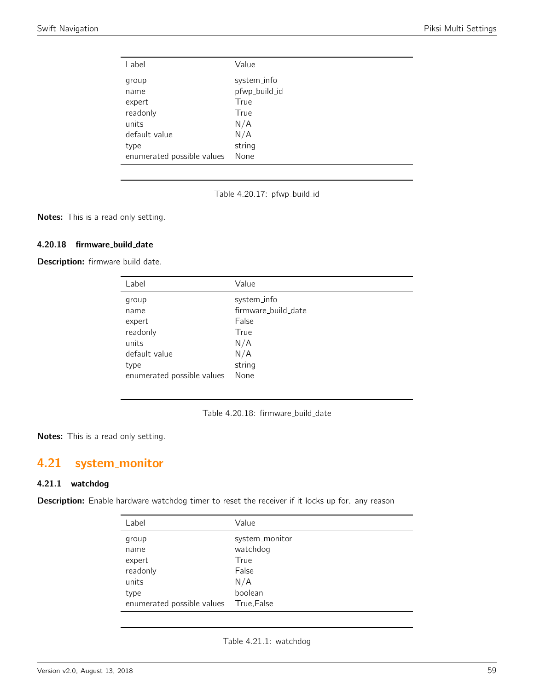| Label                      | Value         |
|----------------------------|---------------|
| group                      | system_info   |
| name                       | pfwp_build_id |
| expert                     | True          |
| readonly                   | True          |
| units                      | N/A           |
| default value              | N/A           |
| type                       | string        |
| enumerated possible values | None          |

Table 4.20.17: pfwp\_build\_id

Notes: This is a read only setting.

#### 4.20.18 firmware build date

Description: firmware build date.

| Label                      | Value               |
|----------------------------|---------------------|
| group                      | system_info         |
| name                       | firmware_build_date |
| expert                     | False               |
| readonly                   | True                |
| units                      | N/A                 |
| default value              | N/A                 |
| type                       | string              |
| enumerated possible values | None                |
|                            |                     |

Table 4.20.18: firmware\_build\_date

Notes: This is a read only setting.

# 4.21 system monitor

#### 4.21.1 watchdog

Description: Enable hardware watchdog timer to reset the receiver if it locks up for. any reason

| Label                      | Value          |
|----------------------------|----------------|
| group                      | system_monitor |
| name                       | watchdog       |
| expert                     | True           |
| readonly                   | False          |
| units                      | N/A            |
| type                       | boolean        |
| enumerated possible values | True, False    |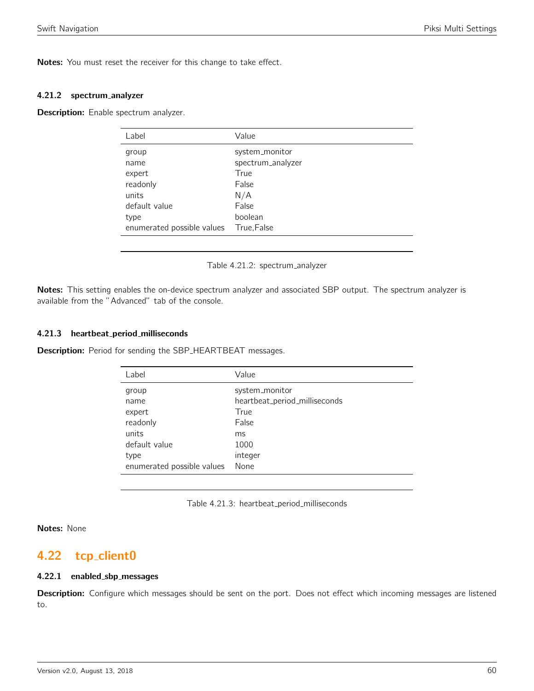Notes: You must reset the receiver for this change to take effect.

#### 4.21.2 spectrum analyzer

Description: Enable spectrum analyzer.

| Value             |
|-------------------|
| system_monitor    |
| spectrum_analyzer |
| True              |
| False             |
| N/A               |
| False             |
| boolean           |
| True, False       |
|                   |

Table 4.21.2: spectrum analyzer

Notes: This setting enables the on-device spectrum analyzer and associated SBP output. The spectrum analyzer is available from the "Advanced" tab of the console.

#### 4.21.3 heartbeat period milliseconds

**Description:** Period for sending the SBP\_HEARTBEAT messages.

| Label                      | Value                         |
|----------------------------|-------------------------------|
| group                      | system_monitor                |
| name                       | heartbeat_period_milliseconds |
| expert                     | True                          |
| readonly                   | False                         |
| units                      | ms                            |
| default value              | 1000                          |
| type                       | integer                       |
| enumerated possible values | None                          |

Table 4.21.3: heartbeat\_period\_milliseconds

Notes: None

## 4.22 tcp\_client0

#### 4.22.1 enabled sbp messages

Description: Configure which messages should be sent on the port. Does not effect which incoming messages are listened to.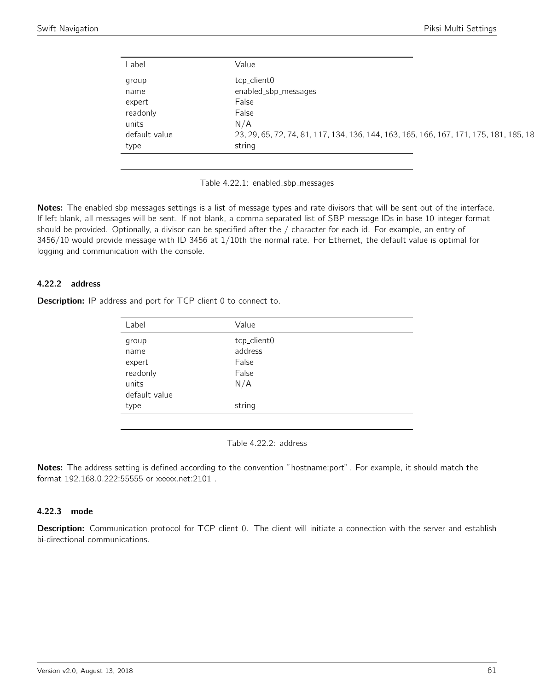| Label         | Value                                                                                  |
|---------------|----------------------------------------------------------------------------------------|
| group         | tcp_client0                                                                            |
| name          | enabled_sbp_messages                                                                   |
| expert        | False                                                                                  |
| readonly      | False                                                                                  |
| units         | N/A                                                                                    |
| default value | 23, 29, 65, 72, 74, 81, 117, 134, 136, 144, 163, 165, 166, 167, 171, 175, 181, 185, 18 |
| type          | string                                                                                 |

Table 4.22.1: enabled\_sbp\_messages

Notes: The enabled sbp messages settings is a list of message types and rate divisors that will be sent out of the interface. If left blank, all messages will be sent. If not blank, a comma separated list of SBP message IDs in base 10 integer format should be provided. Optionally, a divisor can be specified after the / character for each id. For example, an entry of 3456/10 would provide message with ID 3456 at 1/10th the normal rate. For Ethernet, the default value is optimal for logging and communication with the console.

#### 4.22.2 address

Description: IP address and port for TCP client 0 to connect to.

| Label         | Value       |
|---------------|-------------|
| group         | tcp_client0 |
| name          | address     |
| expert        | False       |
| readonly      | False       |
| units         | N/A         |
| default value |             |
| type          | string      |
|               |             |

Table 4.22.2: address

Notes: The address setting is defined according to the convention "hostname:port". For example, it should match the format 192.168.0.222:55555 or xxxxx.net:2101 .

#### 4.22.3 mode

Description: Communication protocol for TCP client 0. The client will initiate a connection with the server and establish bi-directional communications.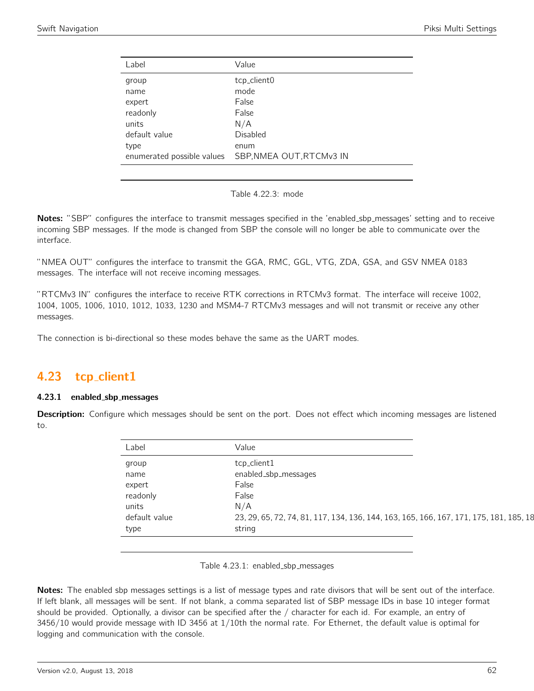| Label                      | Value                    |
|----------------------------|--------------------------|
| group                      | tcp_client0              |
| name                       | mode                     |
| expert                     | False                    |
| readonly                   | False                    |
| units                      | N/A                      |
| default value              | Disabled                 |
| type                       | enum                     |
| enumerated possible values | SBP, NMEA OUT, RTCMv3 IN |
|                            |                          |

| Table 4.22.3: mode |  |
|--------------------|--|
|--------------------|--|

Notes: "SBP" configures the interface to transmit messages specified in the 'enabled\_sbp\_messages' setting and to receive incoming SBP messages. If the mode is changed from SBP the console will no longer be able to communicate over the interface.

"NMEA OUT" configures the interface to transmit the GGA, RMC, GGL, VTG, ZDA, GSA, and GSV NMEA 0183 messages. The interface will not receive incoming messages.

"RTCMv3 IN" configures the interface to receive RTK corrections in RTCMv3 format. The interface will receive 1002, 1004, 1005, 1006, 1010, 1012, 1033, 1230 and MSM4-7 RTCMv3 messages and will not transmit or receive any other messages.

The connection is bi-directional so these modes behave the same as the UART modes.

## 4.23 tcp client1

#### 4.23.1 enabled sbp messages

Description: Configure which messages should be sent on the port. Does not effect which incoming messages are listened to.

| Label         | Value                                                                                  |
|---------------|----------------------------------------------------------------------------------------|
| group         | tcp_client1                                                                            |
| name          | enabled_sbp_messages                                                                   |
| expert        | False                                                                                  |
| readonly      | False                                                                                  |
| units         | N/A                                                                                    |
| default value | 23, 29, 65, 72, 74, 81, 117, 134, 136, 144, 163, 165, 166, 167, 171, 175, 181, 185, 18 |
| type          | string                                                                                 |

Table 4.23.1: enabled\_sbp\_messages

Notes: The enabled sbp messages settings is a list of message types and rate divisors that will be sent out of the interface. If left blank, all messages will be sent. If not blank, a comma separated list of SBP message IDs in base 10 integer format should be provided. Optionally, a divisor can be specified after the / character for each id. For example, an entry of 3456/10 would provide message with ID 3456 at 1/10th the normal rate. For Ethernet, the default value is optimal for logging and communication with the console.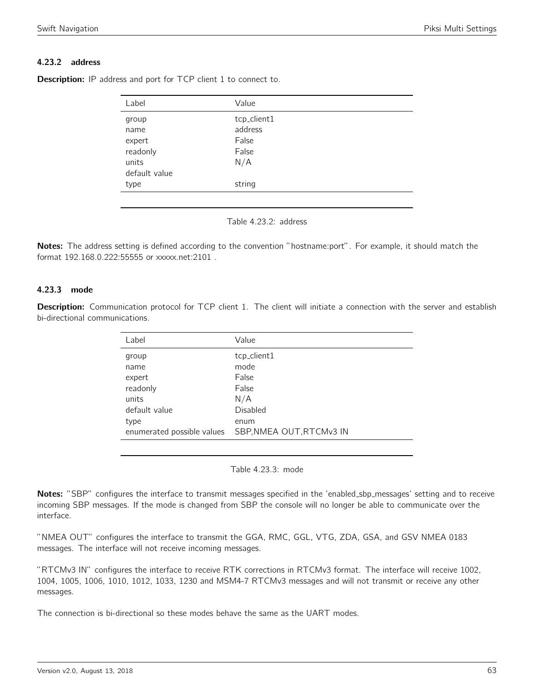## 4.23.2 address

| Label         | Value       |  |
|---------------|-------------|--|
| group         | tcp_client1 |  |
| name          | address     |  |
| expert        | False       |  |
| readonly      | False       |  |
| units         | N/A         |  |
| default value |             |  |
| type          | string      |  |
|               |             |  |

**Description:** IP address and port for TCP client 1 to connect to.



Notes: The address setting is defined according to the convention "hostname:port". For example, it should match the format 192.168.0.222:55555 or xxxxx.net:2101 .

## 4.23.3 mode

Description: Communication protocol for TCP client 1. The client will initiate a connection with the server and establish bi-directional communications.

| Value                                                  |
|--------------------------------------------------------|
| tcp_client1                                            |
| mode                                                   |
| False                                                  |
| False                                                  |
| N/A                                                    |
| Disabled                                               |
| enum                                                   |
| SBP, NMEA OUT, RTCMv3 IN<br>enumerated possible values |
|                                                        |

Table 4.23.3: mode

Notes: "SBP" configures the interface to transmit messages specified in the 'enabled\_sbp\_messages' setting and to receive incoming SBP messages. If the mode is changed from SBP the console will no longer be able to communicate over the interface.

"NMEA OUT" configures the interface to transmit the GGA, RMC, GGL, VTG, ZDA, GSA, and GSV NMEA 0183 messages. The interface will not receive incoming messages.

"RTCMv3 IN" configures the interface to receive RTK corrections in RTCMv3 format. The interface will receive 1002, 1004, 1005, 1006, 1010, 1012, 1033, 1230 and MSM4-7 RTCMv3 messages and will not transmit or receive any other messages.

The connection is bi-directional so these modes behave the same as the UART modes.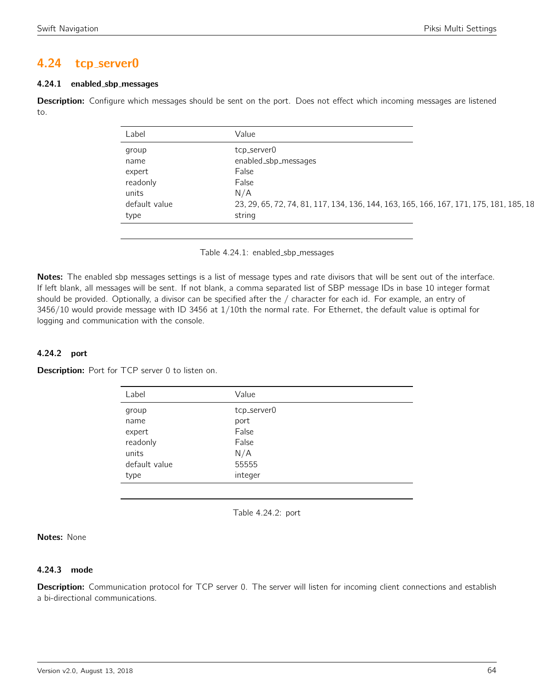## 4.24 tcp server0

## 4.24.1 enabled sbp messages

Description: Configure which messages should be sent on the port. Does not effect which incoming messages are listened to.

| Label         | Value                                                                                  |
|---------------|----------------------------------------------------------------------------------------|
| group         | tcp_server0                                                                            |
| name          | enabled_sbp_messages                                                                   |
| expert        | False                                                                                  |
| readonly      | False                                                                                  |
| units         | N/A                                                                                    |
| default value | 23, 29, 65, 72, 74, 81, 117, 134, 136, 144, 163, 165, 166, 167, 171, 175, 181, 185, 18 |
| type          | string                                                                                 |

Table 4.24.1: enabled sbp messages

Notes: The enabled sbp messages settings is a list of message types and rate divisors that will be sent out of the interface. If left blank, all messages will be sent. If not blank, a comma separated list of SBP message IDs in base 10 integer format should be provided. Optionally, a divisor can be specified after the / character for each id. For example, an entry of 3456/10 would provide message with ID 3456 at 1/10th the normal rate. For Ethernet, the default value is optimal for logging and communication with the console.

#### 4.24.2 port

Description: Port for TCP server 0 to listen on.

| Value       |
|-------------|
| tcp_server0 |
| port        |
| False       |
| False       |
| N/A         |
| 55555       |
| integer     |
|             |

Table 4.24.2: port

Notes: None

## 4.24.3 mode

Description: Communication protocol for TCP server 0. The server will listen for incoming client connections and establish a bi-directional communications.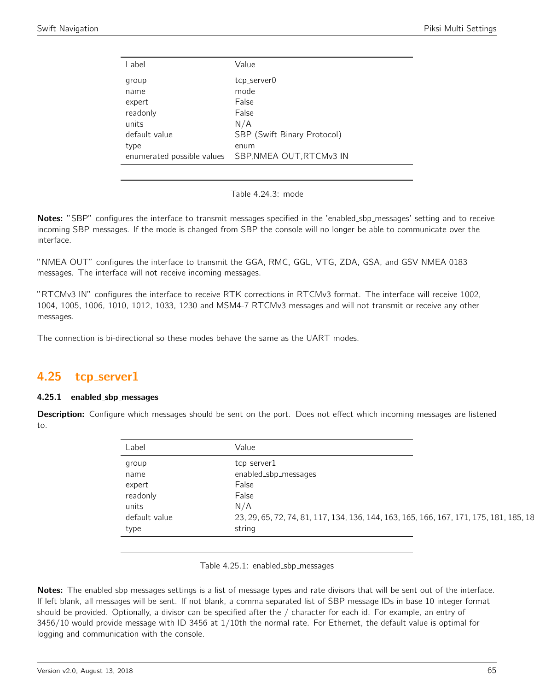| Label                                        | Value                                        |
|----------------------------------------------|----------------------------------------------|
| group<br>name<br>expert<br>readonly<br>units | tcp_server0<br>mode<br>False<br>False<br>N/A |
| default value                                | SBP (Swift Binary Protocol)                  |
| type<br>enumerated possible values           | enum<br>SBP, NMEA OUT, RTCMv3 IN             |
|                                              |                                              |

Table 4.24.3: mode

Notes: "SBP" configures the interface to transmit messages specified in the 'enabled\_sbp\_messages' setting and to receive incoming SBP messages. If the mode is changed from SBP the console will no longer be able to communicate over the interface.

"NMEA OUT" configures the interface to transmit the GGA, RMC, GGL, VTG, ZDA, GSA, and GSV NMEA 0183 messages. The interface will not receive incoming messages.

"RTCMv3 IN" configures the interface to receive RTK corrections in RTCMv3 format. The interface will receive 1002, 1004, 1005, 1006, 1010, 1012, 1033, 1230 and MSM4-7 RTCMv3 messages and will not transmit or receive any other messages.

The connection is bi-directional so these modes behave the same as the UART modes.

## 4.25 tcp server1

#### 4.25.1 enabled sbp messages

Description: Configure which messages should be sent on the port. Does not effect which incoming messages are listened to.

| Label         | Value                                                                                  |
|---------------|----------------------------------------------------------------------------------------|
| group         | tcp_server1                                                                            |
| name          | enabled_sbp_messages                                                                   |
| expert        | False                                                                                  |
| readonly      | False                                                                                  |
| units         | N/A                                                                                    |
| default value | 23, 29, 65, 72, 74, 81, 117, 134, 136, 144, 163, 165, 166, 167, 171, 175, 181, 185, 18 |
| type          | string                                                                                 |

Table 4.25.1: enabled\_sbp\_messages

Notes: The enabled sbp messages settings is a list of message types and rate divisors that will be sent out of the interface. If left blank, all messages will be sent. If not blank, a comma separated list of SBP message IDs in base 10 integer format should be provided. Optionally, a divisor can be specified after the / character for each id. For example, an entry of 3456/10 would provide message with ID 3456 at 1/10th the normal rate. For Ethernet, the default value is optimal for logging and communication with the console.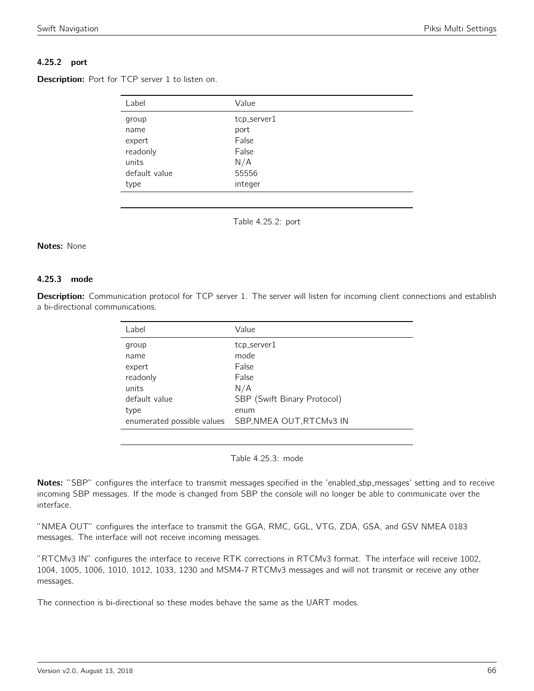## 4.25.2 port

Description: Port for TCP server 1 to listen on.

| Label         | Value       |
|---------------|-------------|
| group         | tcp_server1 |
| name          | port        |
| expert        | False       |
| readonly      | False       |
| units         | N/A         |
| default value | 55556       |
| type          | integer     |

Table 4.25.2: port

#### Notes: None

#### 4.25.3 mode

Description: Communication protocol for TCP server 1. The server will listen for incoming client connections and establish a bi-directional communications.

| Label                      | Value                       |
|----------------------------|-----------------------------|
| group                      | tcp_server1                 |
| name                       | mode                        |
| expert                     | False                       |
| readonly                   | False                       |
| units                      | N/A                         |
| default value              | SBP (Swift Binary Protocol) |
| type                       | enum                        |
| enumerated possible values | SBP, NMEA OUT, RTCMv3 IN    |

Table 4.25.3: mode

Notes: "SBP" configures the interface to transmit messages specified in the 'enabled\_sbp\_messages' setting and to receive incoming SBP messages. If the mode is changed from SBP the console will no longer be able to communicate over the interface.

"NMEA OUT" configures the interface to transmit the GGA, RMC, GGL, VTG, ZDA, GSA, and GSV NMEA 0183 messages. The interface will not receive incoming messages.

"RTCMv3 IN" configures the interface to receive RTK corrections in RTCMv3 format. The interface will receive 1002, 1004, 1005, 1006, 1010, 1012, 1033, 1230 and MSM4-7 RTCMv3 messages and will not transmit or receive any other messages.

The connection is bi-directional so these modes behave the same as the UART modes.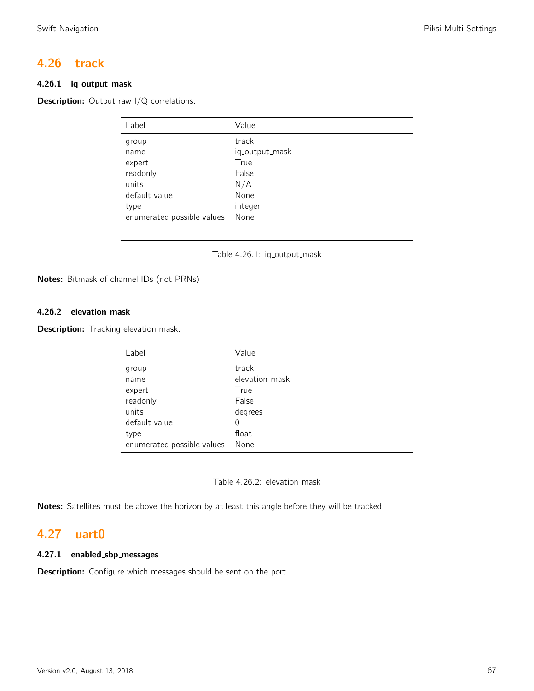# 4.26 track

## 4.26.1 iq output mask

**Description:** Output raw I/Q correlations.

| Label                      | Value          |
|----------------------------|----------------|
| group                      | track          |
| name                       | iq_output_mask |
| expert                     | True           |
| readonly                   | False          |
| units                      | N/A            |
| default value              | None           |
| type                       | integer        |
| enumerated possible values | None           |
|                            |                |



Notes: Bitmask of channel IDs (not PRNs)

## 4.26.2 elevation mask

Description: Tracking elevation mask.

| Value          |
|----------------|
| track          |
| elevation_mask |
| True           |
| False          |
| degrees        |
| 0              |
| float          |
| None           |
|                |

Table 4.26.2: elevation\_mask

Notes: Satellites must be above the horizon by at least this angle before they will be tracked.

# 4.27 uart0

## 4.27.1 enabled sbp messages

**Description:** Configure which messages should be sent on the port.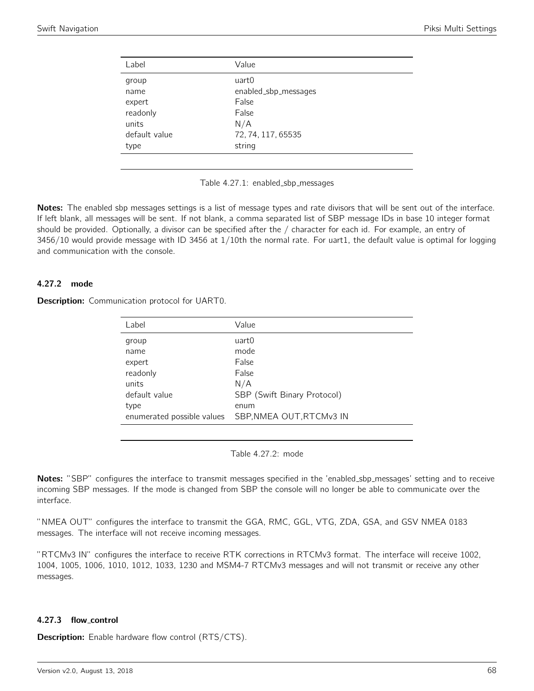| Label         | Value                |
|---------------|----------------------|
| group         | uart0                |
| name          | enabled_sbp_messages |
| expert        | False                |
| readonly      | False                |
| units         | N/A                  |
| default value | 72, 74, 117, 65535   |
| type          | string               |
|               |                      |



Notes: The enabled sbp messages settings is a list of message types and rate divisors that will be sent out of the interface. If left blank, all messages will be sent. If not blank, a comma separated list of SBP message IDs in base 10 integer format should be provided. Optionally, a divisor can be specified after the / character for each id. For example, an entry of 3456/10 would provide message with ID 3456 at 1/10th the normal rate. For uart1, the default value is optimal for logging and communication with the console.

## 4.27.2 mode

**Description:** Communication protocol for UART0.

| Label                      | Value                       |
|----------------------------|-----------------------------|
| group                      | uart0                       |
| name                       | mode                        |
| expert                     | False                       |
| readonly                   | False                       |
| units                      | N/A                         |
| default value              | SBP (Swift Binary Protocol) |
| type                       | enum                        |
| enumerated possible values | SBP, NMEA OUT, RTCMv3 IN    |
|                            |                             |

Table 4.27.2: mode

Notes: "SBP" configures the interface to transmit messages specified in the 'enabled\_sbp\_messages' setting and to receive incoming SBP messages. If the mode is changed from SBP the console will no longer be able to communicate over the interface.

"NMEA OUT" configures the interface to transmit the GGA, RMC, GGL, VTG, ZDA, GSA, and GSV NMEA 0183 messages. The interface will not receive incoming messages.

"RTCMv3 IN" configures the interface to receive RTK corrections in RTCMv3 format. The interface will receive 1002, 1004, 1005, 1006, 1010, 1012, 1033, 1230 and MSM4-7 RTCMv3 messages and will not transmit or receive any other messages.

#### 4.27.3 flow control

**Description:** Enable hardware flow control (RTS/CTS).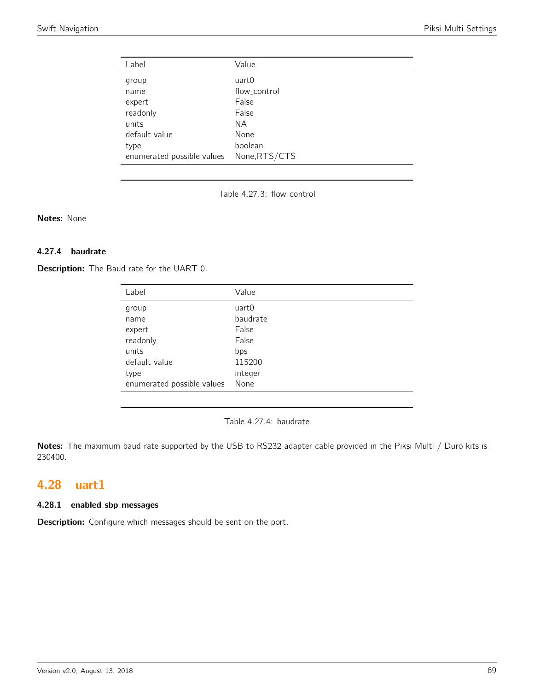| Label                      | Value         |
|----------------------------|---------------|
| group                      | uart0         |
| name                       | flow_control  |
| expert                     | False         |
| readonly                   | False         |
| units                      | NА            |
| default value              | None          |
| type                       | boolean       |
| enumerated possible values | None, RTS/CTS |

Table 4.27.3: flow control

Notes: None

#### 4.27.4 baudrate

Description: The Baud rate for the UART 0.

| Label                      | Value    |
|----------------------------|----------|
| group                      | uart0    |
| name                       | baudrate |
| expert                     | False    |
| readonly                   | False    |
| units                      | bps      |
| default value              | 115200   |
| type                       | integer  |
| enumerated possible values | None     |

Table 4.27.4: baudrate

Notes: The maximum baud rate supported by the USB to RS232 adapter cable provided in the Piksi Multi / Duro kits is 230400.

# 4.28 uart1

## 4.28.1 enabled sbp messages

Description: Configure which messages should be sent on the port.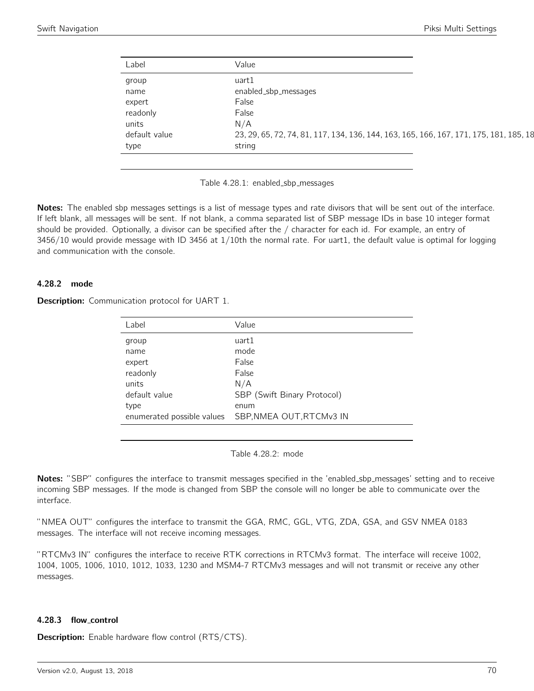| Label         | Value                                                                                  |
|---------------|----------------------------------------------------------------------------------------|
| group         | uart1                                                                                  |
| name          | enabled_sbp_messages                                                                   |
| expert        | False                                                                                  |
| readonly      | False                                                                                  |
| units         | N/A                                                                                    |
| default value | 23, 29, 65, 72, 74, 81, 117, 134, 136, 144, 163, 165, 166, 167, 171, 175, 181, 185, 18 |
| type          | string                                                                                 |

Table 4.28.1: enabled sbp messages

Notes: The enabled sbp messages settings is a list of message types and rate divisors that will be sent out of the interface. If left blank, all messages will be sent. If not blank, a comma separated list of SBP message IDs in base 10 integer format should be provided. Optionally, a divisor can be specified after the / character for each id. For example, an entry of 3456/10 would provide message with ID 3456 at 1/10th the normal rate. For uart1, the default value is optimal for logging and communication with the console.

#### 4.28.2 mode

**Description:** Communication protocol for UART 1.

| Value                       |
|-----------------------------|
| uart1                       |
| mode                        |
| False                       |
| False                       |
| N/A                         |
| SBP (Swift Binary Protocol) |
| enum                        |
| SBP, NMEA OUT, RTCMv3 IN    |
|                             |

Table 4.28.2: mode

Notes: "SBP" configures the interface to transmit messages specified in the 'enabled\_sbp\_messages' setting and to receive incoming SBP messages. If the mode is changed from SBP the console will no longer be able to communicate over the interface.

"NMEA OUT" configures the interface to transmit the GGA, RMC, GGL, VTG, ZDA, GSA, and GSV NMEA 0183 messages. The interface will not receive incoming messages.

"RTCMv3 IN" configures the interface to receive RTK corrections in RTCMv3 format. The interface will receive 1002, 1004, 1005, 1006, 1010, 1012, 1033, 1230 and MSM4-7 RTCMv3 messages and will not transmit or receive any other messages.

#### 4.28.3 flow control

**Description:** Enable hardware flow control (RTS/CTS).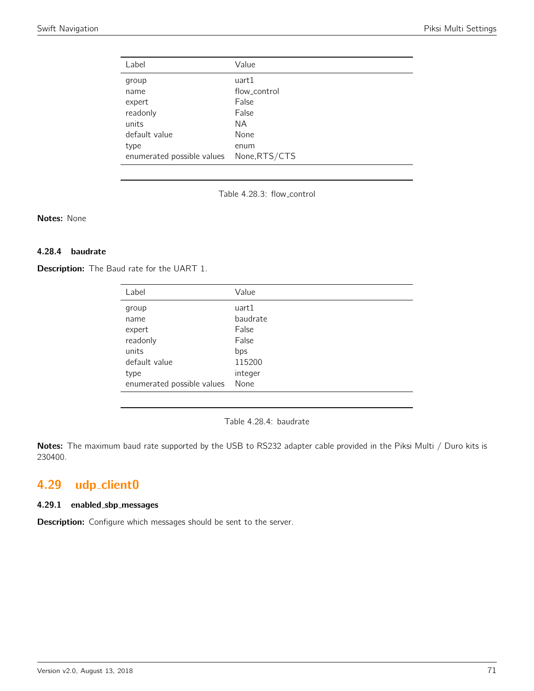| Label                      | Value         |
|----------------------------|---------------|
| group                      | uart1         |
| name                       | flow_control  |
| expert                     | False         |
| readonly                   | False         |
| units                      | NА            |
| default value              | None          |
| type                       | enum          |
| enumerated possible values | None, RTS/CTS |

Table 4.28.3: flow control

Notes: None

## 4.28.4 baudrate

Description: The Baud rate for the UART 1.

| Label                      | Value    |
|----------------------------|----------|
| group                      | uart1    |
| name                       | baudrate |
| expert                     | False    |
| readonly                   | False    |
| units                      | bps      |
| default value              | 115200   |
| type                       | integer  |
| enumerated possible values | None     |

Table 4.28.4: baudrate

Notes: The maximum baud rate supported by the USB to RS232 adapter cable provided in the Piksi Multi / Duro kits is 230400.

# 4.29 udp\_client0

#### 4.29.1 enabled sbp messages

Description: Configure which messages should be sent to the server.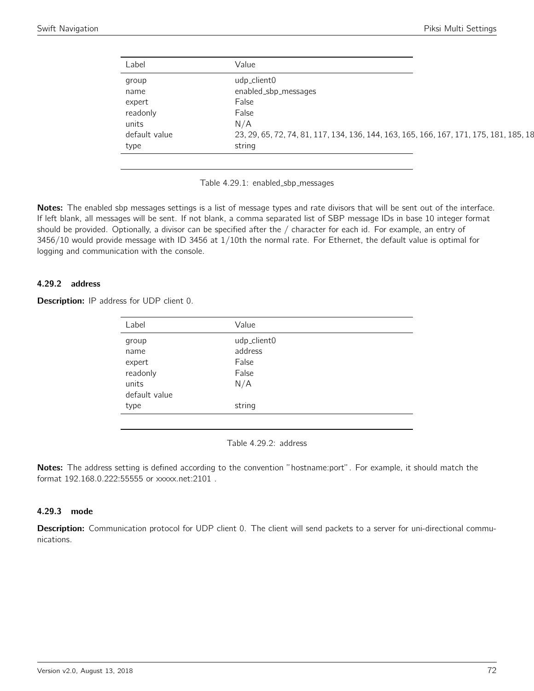| Label         | Value                                                                                  |
|---------------|----------------------------------------------------------------------------------------|
| group         | udp_client0                                                                            |
| name          | enabled_sbp_messages                                                                   |
| expert        | False                                                                                  |
| readonly      | False                                                                                  |
| units         | N/A                                                                                    |
| default value | 23, 29, 65, 72, 74, 81, 117, 134, 136, 144, 163, 165, 166, 167, 171, 175, 181, 185, 18 |
| type          | string                                                                                 |

Table 4.29.1: enabled\_sbp\_messages

Notes: The enabled sbp messages settings is a list of message types and rate divisors that will be sent out of the interface. If left blank, all messages will be sent. If not blank, a comma separated list of SBP message IDs in base 10 integer format should be provided. Optionally, a divisor can be specified after the / character for each id. For example, an entry of 3456/10 would provide message with ID 3456 at 1/10th the normal rate. For Ethernet, the default value is optimal for logging and communication with the console.

## 4.29.2 address

| <b>Description:</b> IP address for UDP client 0. |  |  |  |  |  |  |
|--------------------------------------------------|--|--|--|--|--|--|
|--------------------------------------------------|--|--|--|--|--|--|

| Label         | Value       |
|---------------|-------------|
| group         | udp_client0 |
| name          | address     |
| expert        | False       |
| readonly      | False       |
| units         | N/A         |
| default value |             |
| type          | string      |
|               |             |

Table 4.29.2: address

Notes: The address setting is defined according to the convention "hostname:port". For example, it should match the format 192.168.0.222:55555 or xxxxx.net:2101 .

#### 4.29.3 mode

Description: Communication protocol for UDP client 0. The client will send packets to a server for uni-directional communications.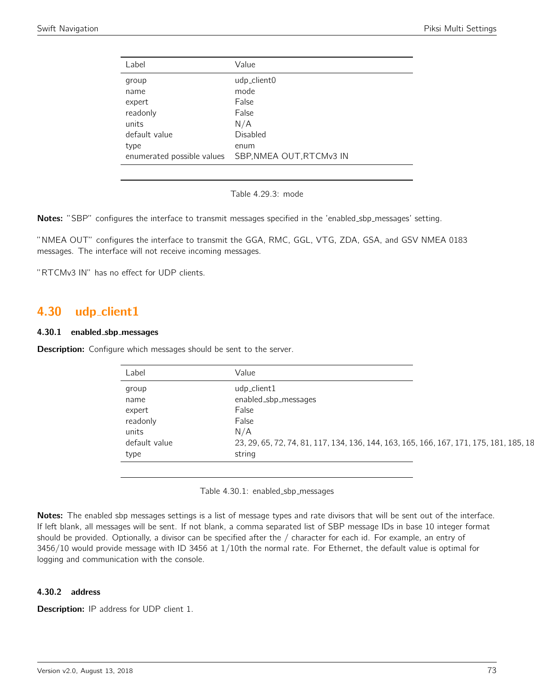| Label                      | Value                    |
|----------------------------|--------------------------|
| group                      | udp_client0              |
| name                       | mode                     |
| expert                     | False                    |
| readonly                   | False                    |
| units                      | N/A                      |
| default value              | Disabled                 |
| type                       | enum                     |
| enumerated possible values | SBP, NMEA OUT, RTCMv3 IN |
|                            |                          |

Table 4.29.3: mode

Notes: "SBP" configures the interface to transmit messages specified in the 'enabled\_sbp\_messages' setting.

"NMEA OUT" configures the interface to transmit the GGA, RMC, GGL, VTG, ZDA, GSA, and GSV NMEA 0183 messages. The interface will not receive incoming messages.

"RTCMv3 IN" has no effect for UDP clients.

# 4.30 udp client1

### 4.30.1 enabled sbp messages

**Description:** Configure which messages should be sent to the server.

| Label         | Value                                                                                  |
|---------------|----------------------------------------------------------------------------------------|
| group         | udp_client1                                                                            |
| name          | enabled_sbp_messages                                                                   |
| expert        | False                                                                                  |
| readonly      | False                                                                                  |
| units         | N/A                                                                                    |
| default value | 23, 29, 65, 72, 74, 81, 117, 134, 136, 144, 163, 165, 166, 167, 171, 175, 181, 185, 18 |
| type          | string                                                                                 |

Table 4.30.1: enabled\_sbp\_messages

Notes: The enabled sbp messages settings is a list of message types and rate divisors that will be sent out of the interface. If left blank, all messages will be sent. If not blank, a comma separated list of SBP message IDs in base 10 integer format should be provided. Optionally, a divisor can be specified after the / character for each id. For example, an entry of 3456/10 would provide message with ID 3456 at 1/10th the normal rate. For Ethernet, the default value is optimal for logging and communication with the console.

## 4.30.2 address

**Description:** IP address for UDP client 1.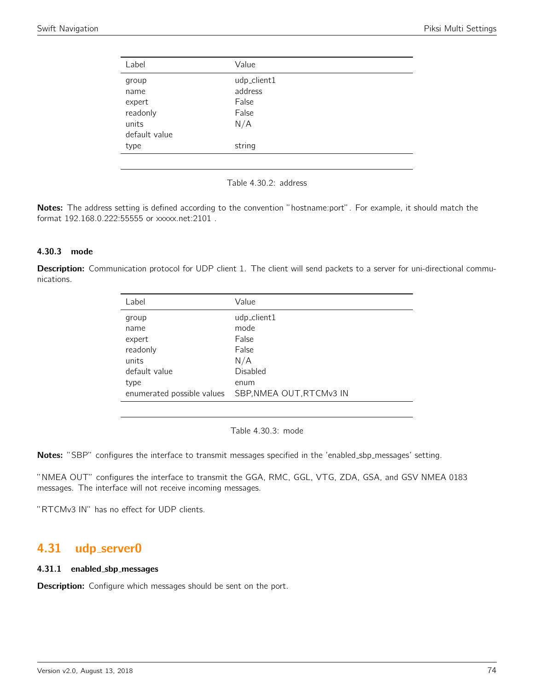| Label         | Value       |  |
|---------------|-------------|--|
| group         | udp_client1 |  |
| name          | address     |  |
| expert        | False       |  |
| readonly      | False       |  |
| units         | N/A         |  |
| default value |             |  |
| type          | string      |  |
|               |             |  |

Table 4.30.2: address

Notes: The address setting is defined according to the convention "hostname:port". For example, it should match the format 192.168.0.222:55555 or xxxxx.net:2101 .

## 4.30.3 mode

Description: Communication protocol for UDP client 1. The client will send packets to a server for uni-directional communications.

| Label                      | Value                    |
|----------------------------|--------------------------|
| group                      | udp_client1              |
| name                       | mode                     |
| expert                     | False                    |
| readonly                   | False                    |
| units                      | N/A                      |
| default value              | Disabled                 |
| type                       | enum                     |
| enumerated possible values | SBP, NMEA OUT, RTCMv3 IN |
|                            |                          |

Table 4.30.3: mode

Notes: "SBP" configures the interface to transmit messages specified in the 'enabled\_sbp\_messages' setting.

"NMEA OUT" configures the interface to transmit the GGA, RMC, GGL, VTG, ZDA, GSA, and GSV NMEA 0183 messages. The interface will not receive incoming messages.

"RTCMv3 IN" has no effect for UDP clients.

# 4.31 udp server0

#### 4.31.1 enabled sbp messages

**Description:** Configure which messages should be sent on the port.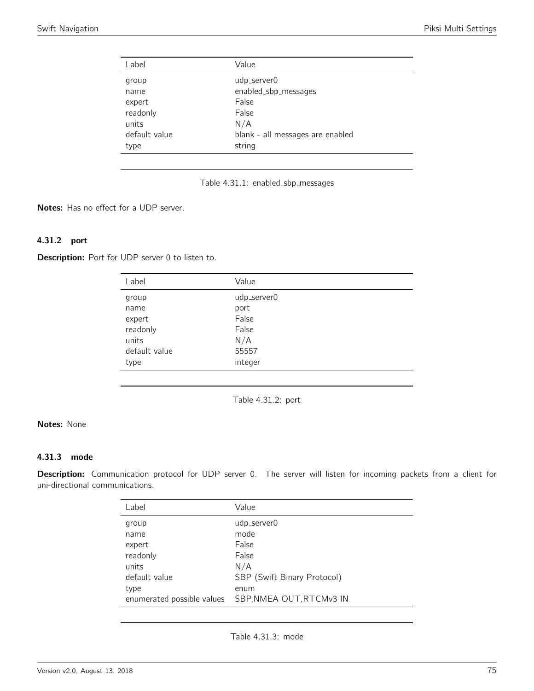| Label                                      | Value                                                      |  |
|--------------------------------------------|------------------------------------------------------------|--|
| group<br>name<br>expert                    | udp_server0<br>enabled_sbp_messages<br>False               |  |
| readonly<br>units<br>default value<br>type | False<br>N/A<br>blank - all messages are enabled<br>string |  |

Table 4.31.1: enabled\_sbp\_messages

Notes: Has no effect for a UDP server.

# 4.31.2 port

Description: Port for UDP server 0 to listen to.

| Label         | Value       |
|---------------|-------------|
| group         | udp_server0 |
| name          | port        |
| expert        | False       |
| readonly      | False       |
| units         | N/A         |
| default value | 55557       |
| type          | integer     |

Table 4.31.2: port

# Notes: None

## 4.31.3 mode

Description: Communication protocol for UDP server 0. The server will listen for incoming packets from a client for uni-directional communications.

| Label                      | Value                       |
|----------------------------|-----------------------------|
| group                      | udp_server0                 |
| name                       | mode                        |
| expert                     | False                       |
| readonly                   | False                       |
| units                      | N/A                         |
| default value              | SBP (Swift Binary Protocol) |
| type                       | enum                        |
| enumerated possible values | SBP, NMEA OUT, RTCMv3 IN    |
|                            |                             |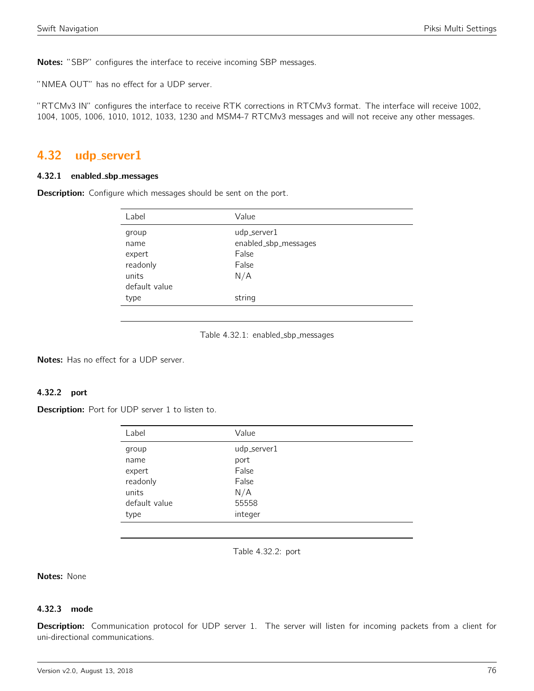Notes: "SBP" configures the interface to receive incoming SBP messages.

"NMEA OUT" has no effect for a UDP server.

"RTCMv3 IN" configures the interface to receive RTK corrections in RTCMv3 format. The interface will receive 1002, 1004, 1005, 1006, 1010, 1012, 1033, 1230 and MSM4-7 RTCMv3 messages and will not receive any other messages.

# 4.32 udp server1

#### 4.32.1 enabled sbp messages

**Description:** Configure which messages should be sent on the port.

| Label         | Value                |
|---------------|----------------------|
| group         | udp_server1          |
| name          | enabled_sbp_messages |
| expert        | False                |
| readonly      | False                |
| units         | N/A                  |
| default value |                      |
| type          | string               |
|               |                      |

#### Table 4.32.1: enabled\_sbp\_messages

Notes: Has no effect for a UDP server.

# 4.32.2 port

Description: Port for UDP server 1 to listen to.

| Label         | Value       |
|---------------|-------------|
| group         | udp_server1 |
| name          | port        |
| expert        | False       |
| readonly      | False       |
| units         | N/A         |
| default value | 55558       |
| type          | integer     |

Table 4.32.2: port

Notes: None

#### 4.32.3 mode

Description: Communication protocol for UDP server 1. The server will listen for incoming packets from a client for uni-directional communications.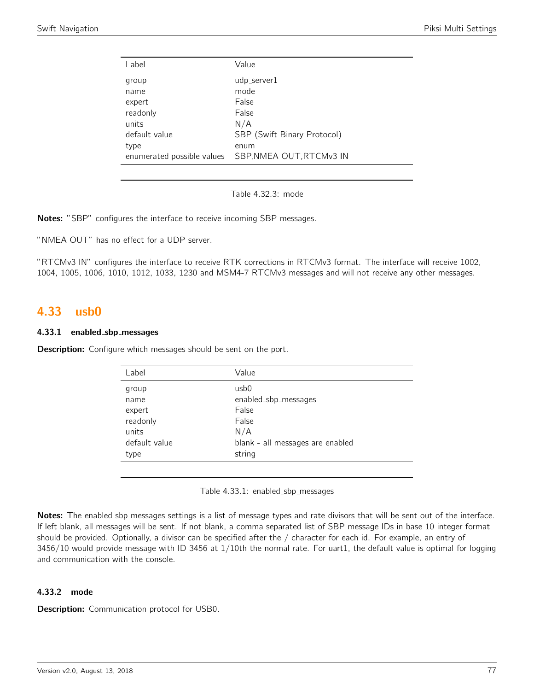| Value<br>Label<br>udp_server1<br>group<br>mode<br>name<br>False<br>expert<br>readonly<br>False<br>N/A<br>units<br>default value<br>SBP (Swift Binary Protocol)<br>type<br>enum<br>SBP, NMEA OUT, RTCMv3 IN<br>enumerated possible values |  |
|------------------------------------------------------------------------------------------------------------------------------------------------------------------------------------------------------------------------------------------|--|
|                                                                                                                                                                                                                                          |  |
|                                                                                                                                                                                                                                          |  |
|                                                                                                                                                                                                                                          |  |
|                                                                                                                                                                                                                                          |  |

Table 4.32.3: mode

Notes: "SBP" configures the interface to receive incoming SBP messages.

"NMEA OUT" has no effect for a UDP server.

"RTCMv3 IN" configures the interface to receive RTK corrections in RTCMv3 format. The interface will receive 1002, 1004, 1005, 1006, 1010, 1012, 1033, 1230 and MSM4-7 RTCMv3 messages and will not receive any other messages.

# 4.33 usb0

## 4.33.1 enabled sbp messages

**Description:** Configure which messages should be sent on the port.

| Label         | Value                            |
|---------------|----------------------------------|
| group         | usb0                             |
| name          | enabled_sbp_messages             |
| expert        | False                            |
| readonly      | False                            |
| units         | N/A                              |
| default value | blank - all messages are enabled |
| type          | string                           |
|               |                                  |

Table 4.33.1: enabled\_sbp\_messages

Notes: The enabled sbp messages settings is a list of message types and rate divisors that will be sent out of the interface. If left blank, all messages will be sent. If not blank, a comma separated list of SBP message IDs in base 10 integer format should be provided. Optionally, a divisor can be specified after the / character for each id. For example, an entry of 3456/10 would provide message with ID 3456 at 1/10th the normal rate. For uart1, the default value is optimal for logging and communication with the console.

## 4.33.2 mode

Description: Communication protocol for USB0.